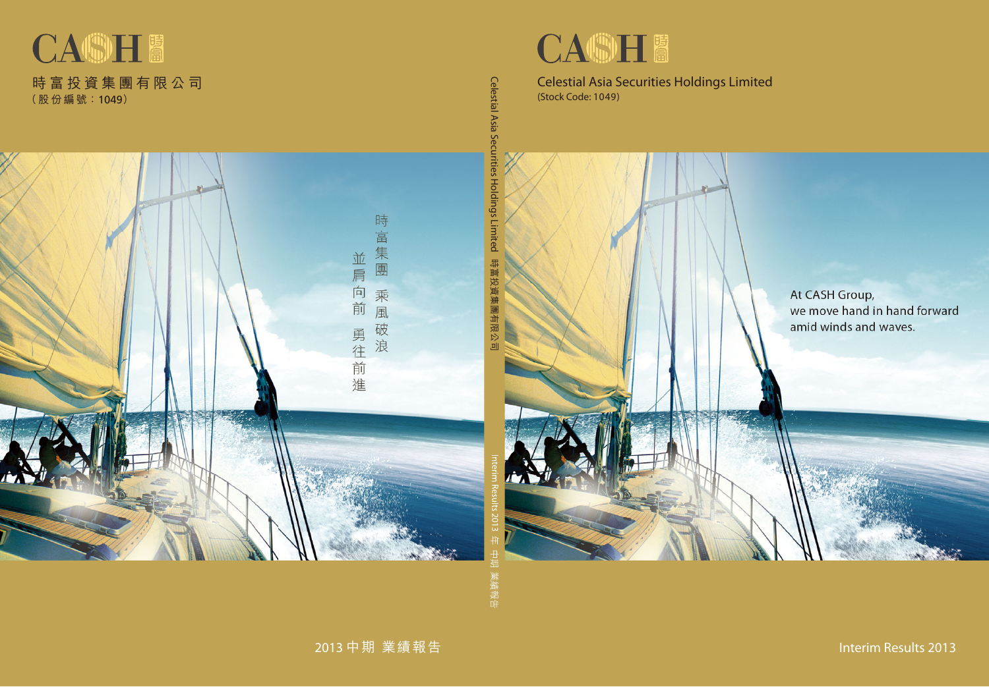

## Celestial Asia Securities Holdings Limited<br>(Stock Code: 1049) (Stock Code: 1049)

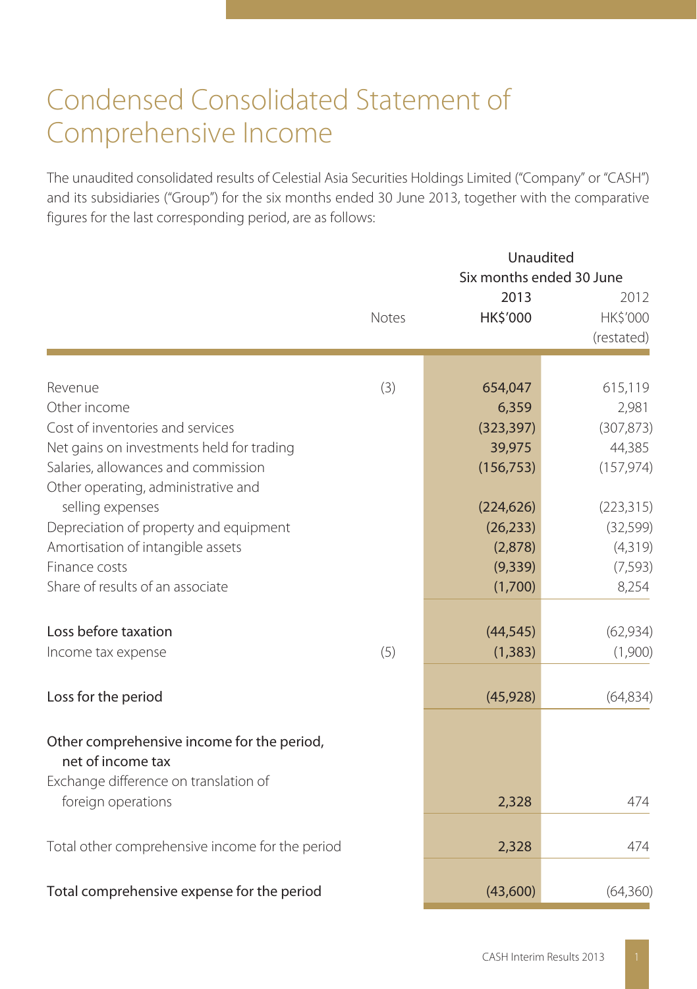## Condensed Consolidated Statement of Comprehensive Income

The unaudited consolidated results of Celestial Asia Securities Holdings Limited ("Company" or "CASH") and its subsidiaries ("Group") for the six months ended 30 June 2013, together with the comparative figures for the last corresponding period, are as follows:

|                                                                            |       | Unaudited<br>Six months ended 30 June |                                |
|----------------------------------------------------------------------------|-------|---------------------------------------|--------------------------------|
|                                                                            | Notes | 2013<br>HK\$'000                      | 2012<br>HK\$'000<br>(restated) |
|                                                                            |       |                                       |                                |
| Revenue                                                                    | (3)   | 654,047                               | 615,119                        |
| Other income                                                               |       | 6,359                                 | 2,981                          |
| Cost of inventories and services                                           |       | (323, 397)                            | (307, 873)                     |
| Net gains on investments held for trading                                  |       | 39,975                                | 44,385                         |
| Salaries, allowances and commission<br>Other operating, administrative and |       | (156, 753)                            | (157, 974)                     |
| selling expenses                                                           |       | (224, 626)                            | (223, 315)                     |
| Depreciation of property and equipment                                     |       | (26, 233)                             | (32, 599)                      |
| Amortisation of intangible assets                                          |       | (2,878)                               | (4,319)                        |
| Finance costs                                                              |       | (9, 339)                              | (7, 593)                       |
| Share of results of an associate                                           |       | (1,700)                               | 8,254                          |
| Loss before taxation                                                       |       | (44, 545)                             | (62, 934)                      |
| Income tax expense                                                         | (5)   | (1, 383)                              | (1,900)                        |
| Loss for the period                                                        |       | (45, 928)                             | (64, 834)                      |
| Other comprehensive income for the period,<br>net of income tax            |       |                                       |                                |
| Exchange difference on translation of<br>foreign operations                |       | 2,328                                 | 474                            |
| Total other comprehensive income for the period                            |       | 2,328                                 | 474                            |
|                                                                            |       |                                       |                                |
| Total comprehensive expense for the period                                 |       | (43,600)                              | (64,360)                       |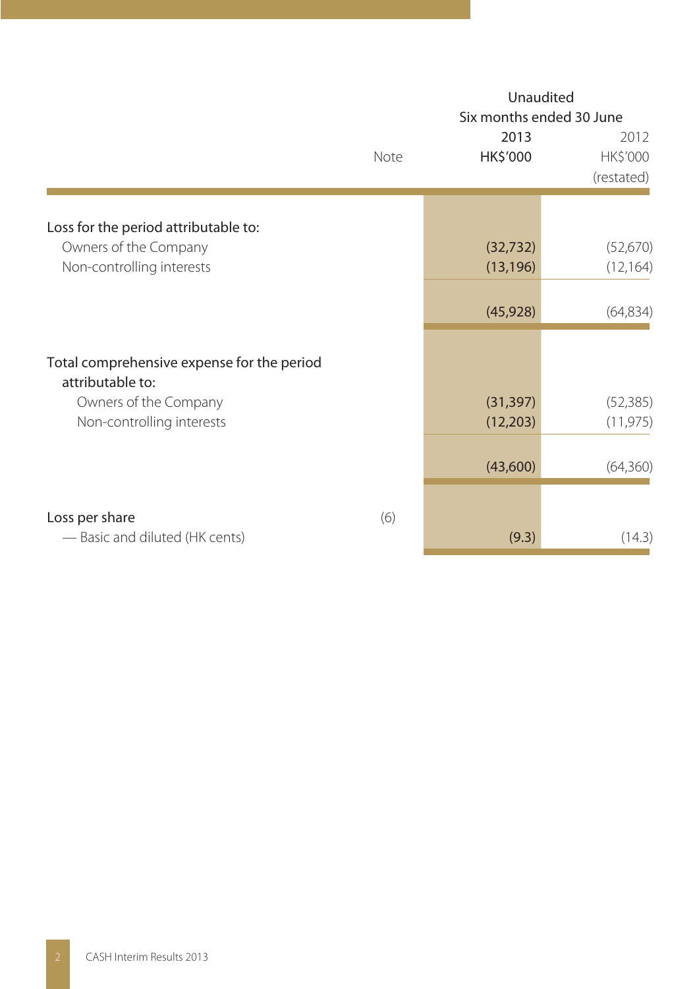|                                                                | Unaudited<br>Six months ended 30 June |                        |                                |  |
|----------------------------------------------------------------|---------------------------------------|------------------------|--------------------------------|--|
|                                                                | Note                                  | 2013<br>HK\$'000       | 2012<br>HK\$'000<br>(restated) |  |
| Loss for the period attributable to:                           |                                       |                        |                                |  |
| Owners of the Company<br>Non-controlling interests             |                                       | (32, 732)<br>(13, 196) | (52,670)<br>(12, 164)          |  |
|                                                                |                                       | (45, 928)              | (64, 834)                      |  |
| Total comprehensive expense for the period<br>attributable to: |                                       |                        |                                |  |
| Owners of the Company<br>Non-controlling interests             |                                       | (31, 397)<br>(12, 203) | (52, 385)<br>(11, 975)         |  |
|                                                                |                                       | (43,600)               | (64,360)                       |  |
| Loss per share                                                 | (6)                                   |                        |                                |  |
| - Basic and diluted (HK cents)                                 |                                       | (9.3)                  | (14.3)                         |  |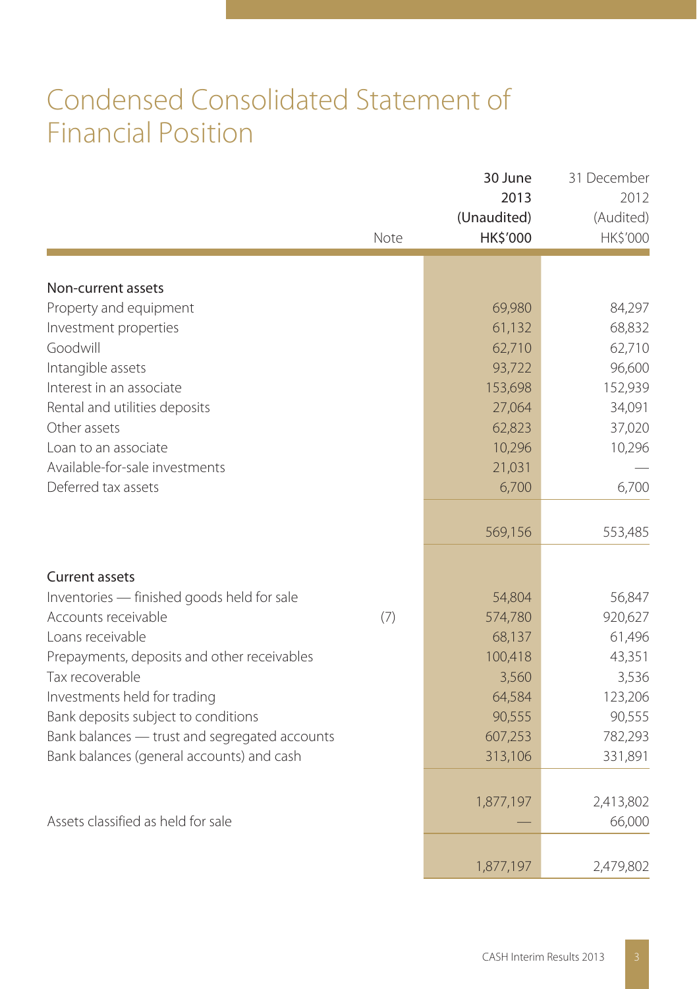## Condensed Consolidated Statement of Financial Position

|                                               | Note | 30 June<br>2013<br>(Unaudited)<br>HK\$'000 | 31 December<br>2012<br>(Audited)<br>HK\$'000 |
|-----------------------------------------------|------|--------------------------------------------|----------------------------------------------|
|                                               |      |                                            |                                              |
| Non-current assets                            |      |                                            |                                              |
| Property and equipment                        |      | 69,980                                     | 84,297                                       |
| Investment properties<br>Goodwill             |      | 61,132                                     | 68,832                                       |
|                                               |      | 62,710                                     | 62,710<br>96,600                             |
| Intangible assets<br>Interest in an associate |      | 93,722<br>153,698                          |                                              |
| Rental and utilities deposits                 |      | 27,064                                     | 152,939<br>34,091                            |
| Other assets                                  |      | 62,823                                     | 37,020                                       |
| Loan to an associate                          |      | 10,296                                     | 10,296                                       |
| Available-for-sale investments                |      | 21,031                                     |                                              |
| Deferred tax assets                           |      | 6,700                                      | 6,700                                        |
|                                               |      |                                            |                                              |
|                                               |      | 569,156                                    | 553,485                                      |
| Current assets                                |      |                                            |                                              |
| Inventories - finished goods held for sale    |      | 54,804                                     | 56,847                                       |
| Accounts receivable                           | (7)  | 574,780                                    | 920,627                                      |
| Loans receivable                              |      | 68,137                                     | 61,496                                       |
| Prepayments, deposits and other receivables   |      | 100,418                                    | 43,351                                       |
| Tax recoverable                               |      | 3,560                                      | 3,536                                        |
| Investments held for trading                  |      | 64,584                                     | 123,206                                      |
| Bank deposits subject to conditions           |      | 90,555                                     | 90,555                                       |
| Bank balances - trust and segregated accounts |      | 607,253                                    | 782,293                                      |
| Bank balances (general accounts) and cash     |      | 313,106                                    | 331,891                                      |
|                                               |      | 1,877,197                                  | 2,413,802                                    |
| Assets classified as held for sale            |      |                                            | 66,000                                       |
|                                               |      | 1,877,197                                  | 2,479,802                                    |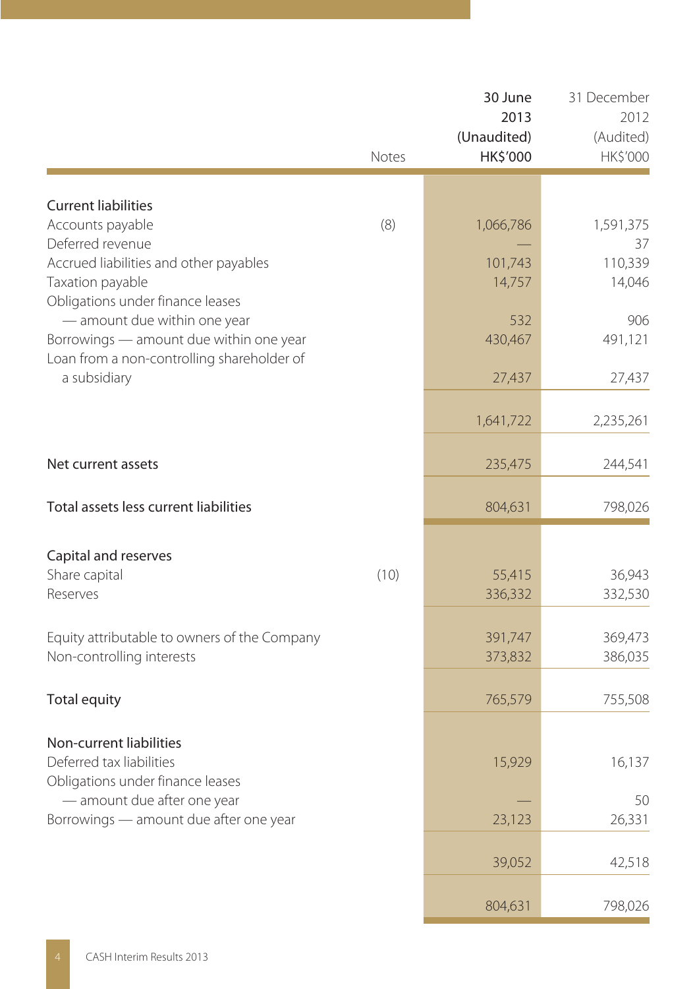|                                                                                                                                                                           | Notes | 30 June<br>2013<br>(Unaudited)<br>HK\$'000 | 31 December<br>2012<br>(Audited)<br>HK\$'000 |
|---------------------------------------------------------------------------------------------------------------------------------------------------------------------------|-------|--------------------------------------------|----------------------------------------------|
|                                                                                                                                                                           |       |                                            |                                              |
| <b>Current liabilities</b><br>Accounts payable<br>Deferred revenue                                                                                                        | (8)   | 1,066,786                                  | 1,591,375<br>37                              |
| Accrued liabilities and other payables<br>Taxation payable                                                                                                                |       | 101,743<br>14,757                          | 110,339<br>14,046                            |
| Obligations under finance leases<br>- amount due within one year<br>Borrowings - amount due within one year<br>Loan from a non-controlling shareholder of<br>a subsidiary |       | 532<br>430,467                             | 906<br>491,121                               |
|                                                                                                                                                                           |       | 27,437                                     | 27,437                                       |
|                                                                                                                                                                           |       | 1,641,722                                  | 2,235,261                                    |
| Net current assets                                                                                                                                                        |       | 235,475                                    | 244,541                                      |
| Total assets less current liabilities                                                                                                                                     |       | 804,631                                    | 798,026                                      |
| Capital and reserves                                                                                                                                                      |       |                                            |                                              |
| Share capital<br>Reserves                                                                                                                                                 | (10)  | 55,415<br>336,332                          | 36,943<br>332,530                            |
| Equity attributable to owners of the Company<br>Non-controlling interests                                                                                                 |       | 391,747<br>373,832                         | 369,473<br>386,035                           |
| <b>Total equity</b>                                                                                                                                                       |       | 765,579                                    | 755,508                                      |
| Non-current liabilities<br>Deferred tax liabilities<br>Obligations under finance leases                                                                                   |       | 15,929                                     | 16,137                                       |
| - amount due after one year<br>Borrowings - amount due after one year                                                                                                     |       | 23,123                                     | 50<br>26,331                                 |
|                                                                                                                                                                           |       | 39,052                                     | 42,518                                       |
|                                                                                                                                                                           |       | 804,631                                    | 798,026                                      |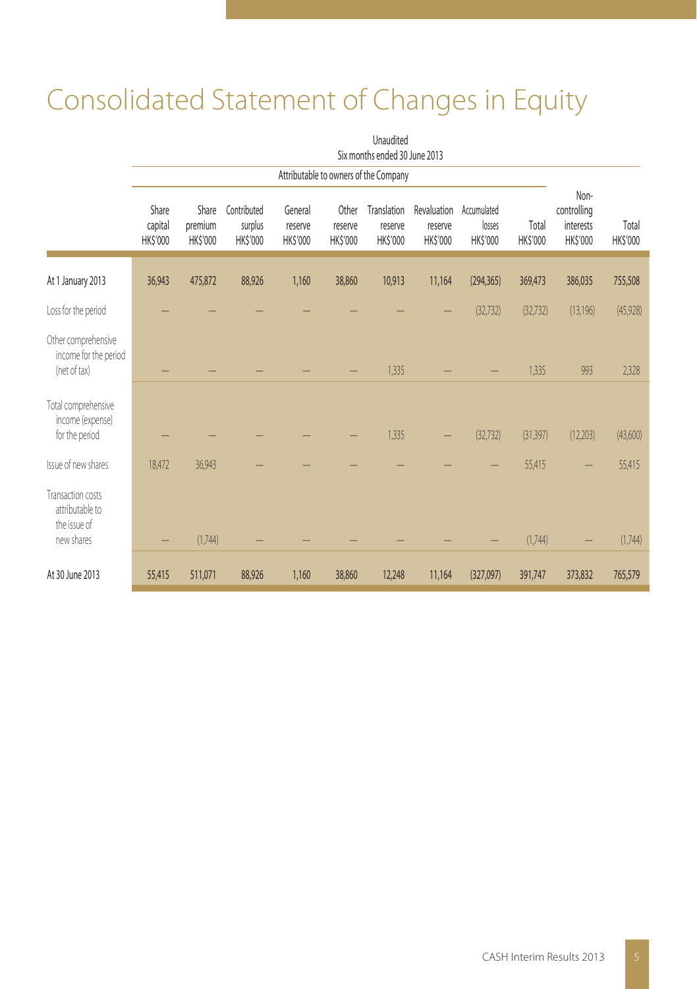# Consolidated Statement of Changes in Equity

|                                                                    | Unaudited<br>Six months ended 30 June 2013 |                                    |                                    |                                |                              |                                       |                                    |                                   |                   |                                              |                   |
|--------------------------------------------------------------------|--------------------------------------------|------------------------------------|------------------------------------|--------------------------------|------------------------------|---------------------------------------|------------------------------------|-----------------------------------|-------------------|----------------------------------------------|-------------------|
|                                                                    |                                            |                                    |                                    |                                |                              | Attributable to owners of the Company |                                    |                                   |                   |                                              |                   |
|                                                                    | Share<br>capital<br>HK\$'000               | Share<br>premium<br><b>HKS'000</b> | Contributed<br>surplus<br>HK\$'000 | General<br>reserve<br>HK\$'000 | Other<br>reserve<br>HK\$'000 | Translation<br>reserve<br>HK\$'000    | Revaluation<br>reserve<br>HK\$'000 | Accumulated<br>losses<br>HK\$'000 | Total<br>HK\$'000 | Non-<br>controlling<br>interests<br>HK\$'000 | Total<br>HK\$'000 |
| At 1 January 2013                                                  | 36,943                                     | 475,872                            | 88,926                             | 1,160                          | 38,860                       | 10,913                                | 11,164                             | (294, 365)                        | 369,473           | 386,035                                      | 755,508           |
| Loss for the period                                                |                                            |                                    |                                    |                                |                              |                                       |                                    | (32, 732)                         | (32, 732)         | (13, 196)                                    | (45, 928)         |
| Other comprehensive<br>income for the period<br>(net of tax)       |                                            |                                    |                                    |                                |                              | 1,335                                 |                                    |                                   | 1,335             | 993                                          | 2,328             |
| Total comprehensive<br>income (expense)<br>for the period          |                                            |                                    |                                    |                                |                              | 1,335                                 |                                    | (32, 732)                         | (31, 397)         | (12,203)                                     | (43,600)          |
| Issue of new shares                                                | 18,472                                     | 36,943                             |                                    |                                |                              |                                       |                                    |                                   | 55,415            |                                              | 55,415            |
| Transaction costs<br>attributable to<br>the issue of<br>new shares |                                            | (1,744)                            |                                    |                                |                              |                                       |                                    |                                   | (1,744)           |                                              | (1,744)           |
| At 30 June 2013                                                    | 55,415                                     | 511,071                            | 88,926                             | 1,160                          | 38,860                       | 12,248                                | 11,164                             | (327,097)                         | 391,747           | 373,832                                      | 765,579           |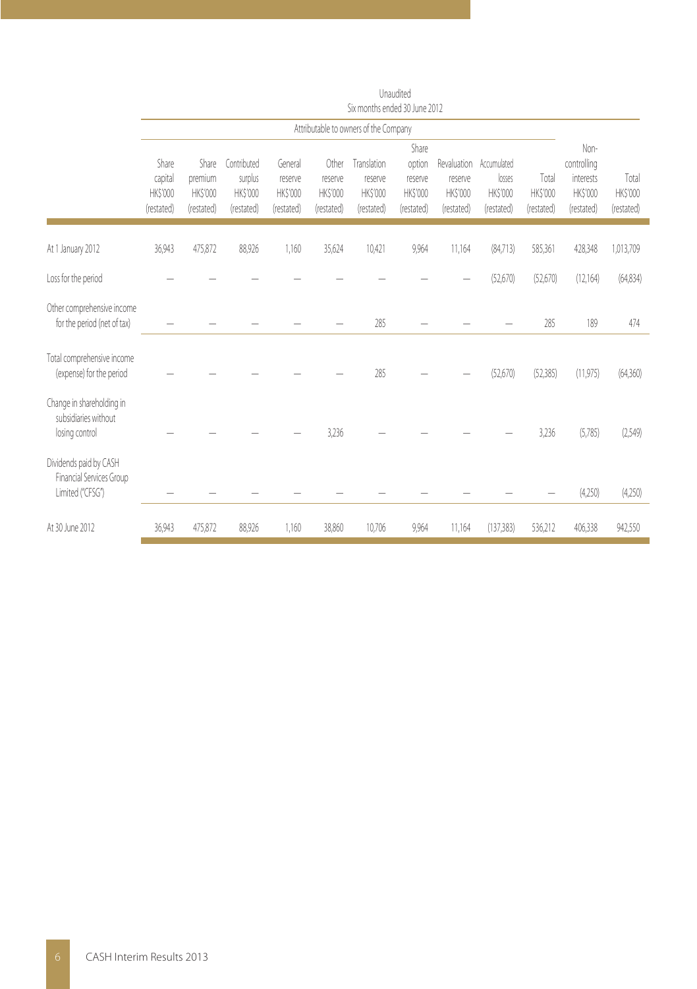|                                                                        |                                            |                                                   |                                                  |                                              |                                            | SIX ITIONUIS ENGEGI SU JUNE ZUTZ                 |                                                      |                                                  |                                                 |                                 |                                                            |                                 |
|------------------------------------------------------------------------|--------------------------------------------|---------------------------------------------------|--------------------------------------------------|----------------------------------------------|--------------------------------------------|--------------------------------------------------|------------------------------------------------------|--------------------------------------------------|-------------------------------------------------|---------------------------------|------------------------------------------------------------|---------------------------------|
|                                                                        | Attributable to owners of the Company      |                                                   |                                                  |                                              |                                            |                                                  |                                                      |                                                  |                                                 |                                 |                                                            |                                 |
|                                                                        | Share<br>capital<br>HK\$'000<br>(restated) | Share<br>premium<br><b>HK\$'000</b><br>(restated) | Contributed<br>surplus<br>HK\$'000<br>(restated) | General<br>reserve<br>HK\$'000<br>(restated) | Other<br>reserve<br>HK\$'000<br>(restated) | Translation<br>reserve<br>HK\$'000<br>(restated) | Share<br>option<br>reserve<br>HK\$'000<br>(restated) | Revaluation<br>reserve<br>HK\$'000<br>(restated) | Accumulated<br>losses<br>HK\$'000<br>(restated) | Total<br>HK\$'000<br>(restated) | Non-<br>controlling<br>interests<br>HK\$'000<br>(restated) | Total<br>HK\$'000<br>(restated) |
| At 1 January 2012                                                      | 36,943                                     | 475,872                                           | 88,926                                           | 1,160                                        | 35,624                                     | 10,421                                           | 9,964                                                | 11,164                                           | (84,713)                                        | 585,361                         | 428,348                                                    | 1,013,709                       |
| Loss for the period                                                    |                                            |                                                   |                                                  |                                              |                                            |                                                  |                                                      |                                                  | (52,670)                                        | (52,670)                        | (12, 164)                                                  | (64, 834)                       |
| Other comprehensive income<br>for the period (net of tax)              |                                            |                                                   |                                                  |                                              |                                            | 285                                              |                                                      |                                                  |                                                 | 285                             | 189                                                        | 474                             |
| Total comprehensive income<br>(expense) for the period                 |                                            |                                                   |                                                  |                                              |                                            | 285                                              |                                                      |                                                  | (52,670)                                        | (52, 385)                       | (11, 975)                                                  | (64,360)                        |
| Change in shareholding in<br>subsidiaries without<br>losing control    |                                            |                                                   |                                                  |                                              | 3,236                                      |                                                  |                                                      |                                                  |                                                 | 3,236                           | (5,785)                                                    | (2,549)                         |
| Dividends paid by CASH<br>Financial Services Group<br>Limited ("CFSG") |                                            |                                                   |                                                  |                                              |                                            |                                                  |                                                      |                                                  |                                                 |                                 | (4,250)                                                    | (4,250)                         |
| At 30 June 2012                                                        | 36,943                                     | 475,872                                           | 88.926                                           | 1,160                                        | 38.860                                     | 10,706                                           | 9,964                                                | 11,164                                           | (137, 383)                                      | 536,212                         | 406,338                                                    | 942,550                         |

Unaudited Six months ended 30 June 2012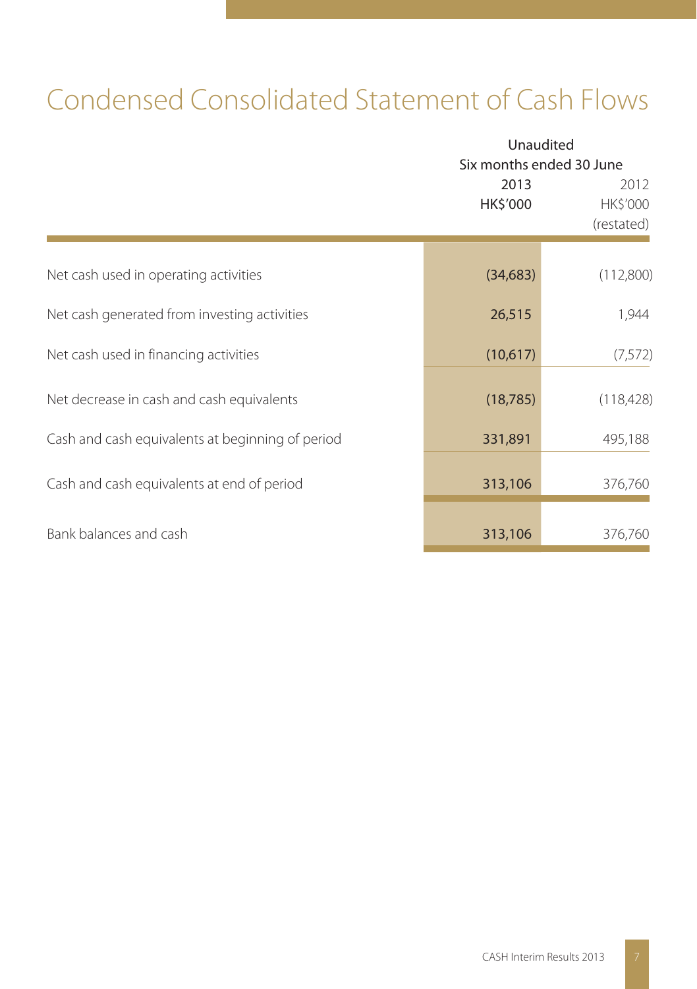## Condensed Consolidated Statement of Cash Flows

|                                                  |                  | Unaudited<br>Six months ended 30 June |  |  |
|--------------------------------------------------|------------------|---------------------------------------|--|--|
|                                                  | 2013<br>HK\$'000 | 2012<br>HK\$'000<br>(restated)        |  |  |
| Net cash used in operating activities            | (34, 683)        | (112,800)                             |  |  |
| Net cash generated from investing activities     | 26,515           | 1,944                                 |  |  |
| Net cash used in financing activities            | (10,617)         | (7, 572)                              |  |  |
| Net decrease in cash and cash equivalents        | (18, 785)        | (118, 428)                            |  |  |
| Cash and cash equivalents at beginning of period | 331,891          | 495,188                               |  |  |
| Cash and cash equivalents at end of period       | 313,106          | 376,760                               |  |  |
| Bank balances and cash                           | 313,106          | 376,760                               |  |  |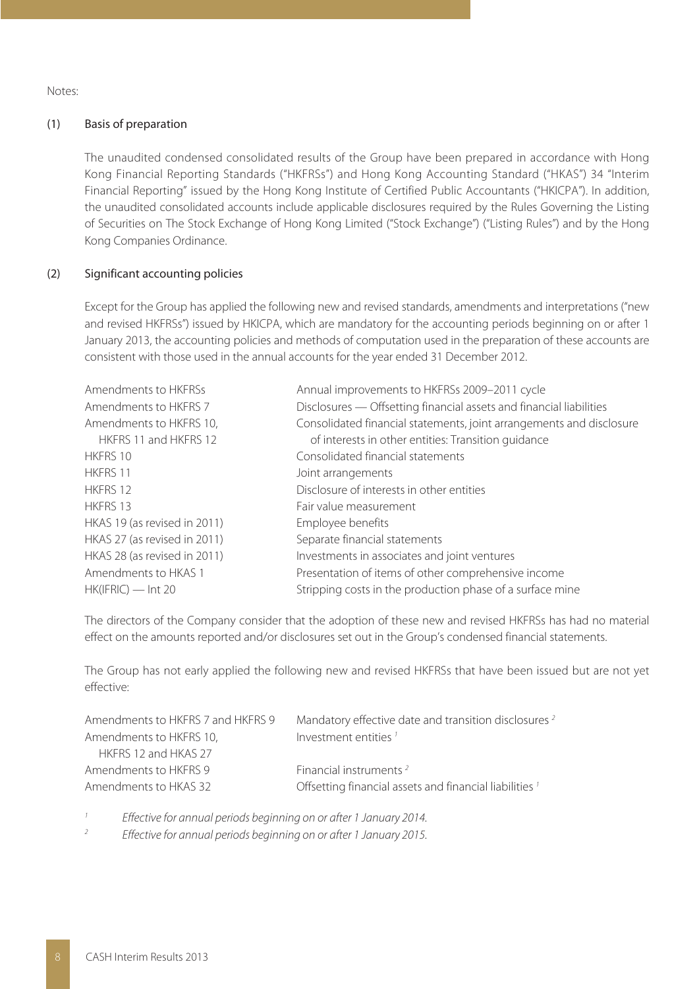Notes:

#### (1) Basis of preparation

The unaudited condensed consolidated results of the Group have been prepared in accordance with Hong Kong Financial Reporting Standards ("HKFRSs") and Hong Kong Accounting Standard ("HKAS") 34 "Interim Financial Reporting" issued by the Hong Kong Institute of Certified Public Accountants ("HKICPA"). In addition, the unaudited consolidated accounts include applicable disclosures required by the Rules Governing the Listing of Securities on The Stock Exchange of Hong Kong Limited ("Stock Exchange") ("Listing Rules") and by the Hong Kong Companies Ordinance.

#### (2) Significant accounting policies

Except for the Group has applied the following new and revised standards, amendments and interpretations ("new and revised HKFRSs") issued by HKICPA, which are mandatory for the accounting periods beginning on or after 1 January 2013, the accounting policies and methods of computation used in the preparation of these accounts are consistent with those used in the annual accounts for the year ended 31 December 2012.

| Amendments to HKFRSs         | Annual improvements to HKFRSs 2009-2011 cycle                        |
|------------------------------|----------------------------------------------------------------------|
| Amendments to HKFRS 7        | Disclosures - Offsetting financial assets and financial liabilities  |
| Amendments to HKFRS 10,      | Consolidated financial statements, joint arrangements and disclosure |
| HKERS 11 and HKERS 12        | of interests in other entities: Transition quidance                  |
| HKFRS 10                     | Consolidated financial statements                                    |
| HKFRS 11                     | Joint arrangements                                                   |
| HKFRS 12                     | Disclosure of interests in other entities                            |
| HKFRS 13                     | Fair value measurement                                               |
| HKAS 19 (as revised in 2011) | Employee benefits                                                    |
| HKAS 27 (as revised in 2011) | Separate financial statements                                        |
| HKAS 28 (as revised in 2011) | Investments in associates and joint ventures                         |
| Amendments to HKAS 1         | Presentation of items of other comprehensive income                  |
| $HK(IFRIC)$ — Int 20         | Stripping costs in the production phase of a surface mine            |
|                              |                                                                      |

The directors of the Company consider that the adoption of these new and revised HKFRSs has had no material effect on the amounts reported and/or disclosures set out in the Group's condensed financial statements.

The Group has not early applied the following new and revised HKFRSs that have been issued but are not yet effective:

| Amendments to HKFRS 7 and HKFRS 9 | Mandatory effective date and transition disclosures <sup>2</sup> |
|-----------------------------------|------------------------------------------------------------------|
| Amendments to HKFRS 10,           | Investment entities <sup>1</sup>                                 |
| HKERS 12 and HKAS 27              |                                                                  |
| Amendments to HKFRS 9             | Financial instruments <sup>2</sup>                               |
| Amendments to HKAS 32             | Offsetting financial assets and financial liabilities 1          |
|                                   |                                                                  |

1 Effective for annual periods beginning on or after 1 January 2014.

2 Effective for annual periods beginning on or after 1 January 2015.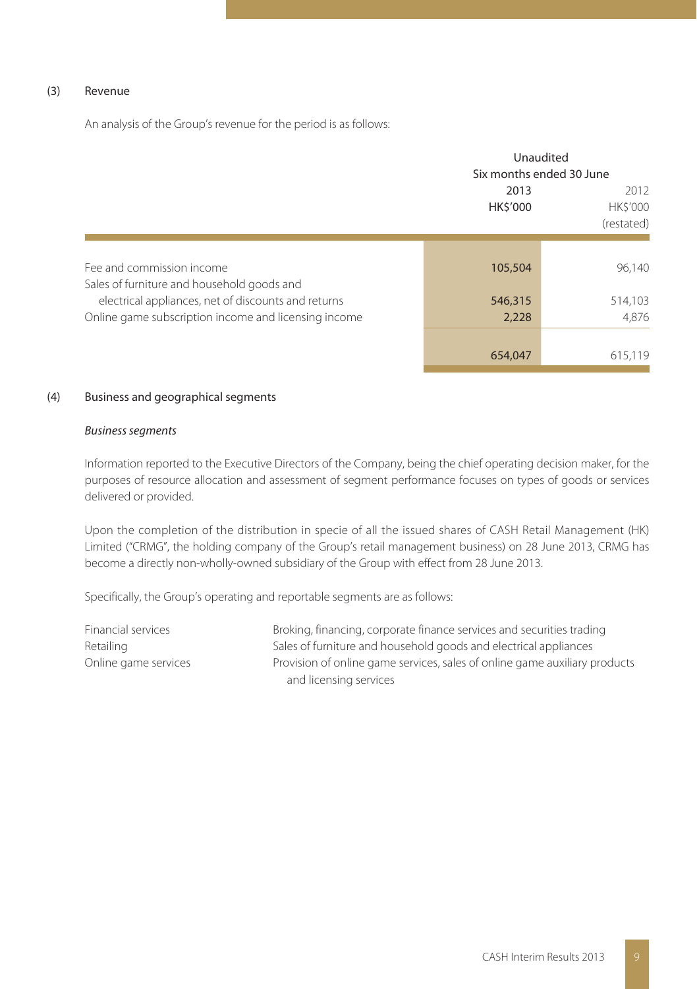#### (3) Revenue

An analysis of the Group's revenue for the period is as follows:

|                                                                                                             | Unaudited<br>Six months ended 30 June |                                       |  |
|-------------------------------------------------------------------------------------------------------------|---------------------------------------|---------------------------------------|--|
|                                                                                                             | 2013<br><b>HK\$'000</b>               | 2012<br><b>HK\$'000</b><br>(restated) |  |
| Fee and commission income<br>Sales of furniture and household goods and                                     | 105,504                               | 96,140                                |  |
| electrical appliances, net of discounts and returns<br>Online game subscription income and licensing income | 546,315<br>2,228                      | 514,103<br>4.876                      |  |
|                                                                                                             | 654,047                               | 615,119                               |  |

#### (4) Business and geographical segments

#### Business segments

Information reported to the Executive Directors of the Company, being the chief operating decision maker, for the purposes of resource allocation and assessment of segment performance focuses on types of goods or services delivered or provided.

Upon the completion of the distribution in specie of all the issued shares of CASH Retail Management (HK) Limited ("CRMG", the holding company of the Group's retail management business) on 28 June 2013, CRMG has become a directly non-wholly-owned subsidiary of the Group with effect from 28 June 2013.

Specifically, the Group's operating and reportable segments are as follows:

| Financial services   | Broking, financing, corporate finance services and securities trading      |
|----------------------|----------------------------------------------------------------------------|
| Retailing            | Sales of furniture and household goods and electrical appliances           |
| Online game services | Provision of online game services, sales of online game auxiliary products |
|                      | and licensing services                                                     |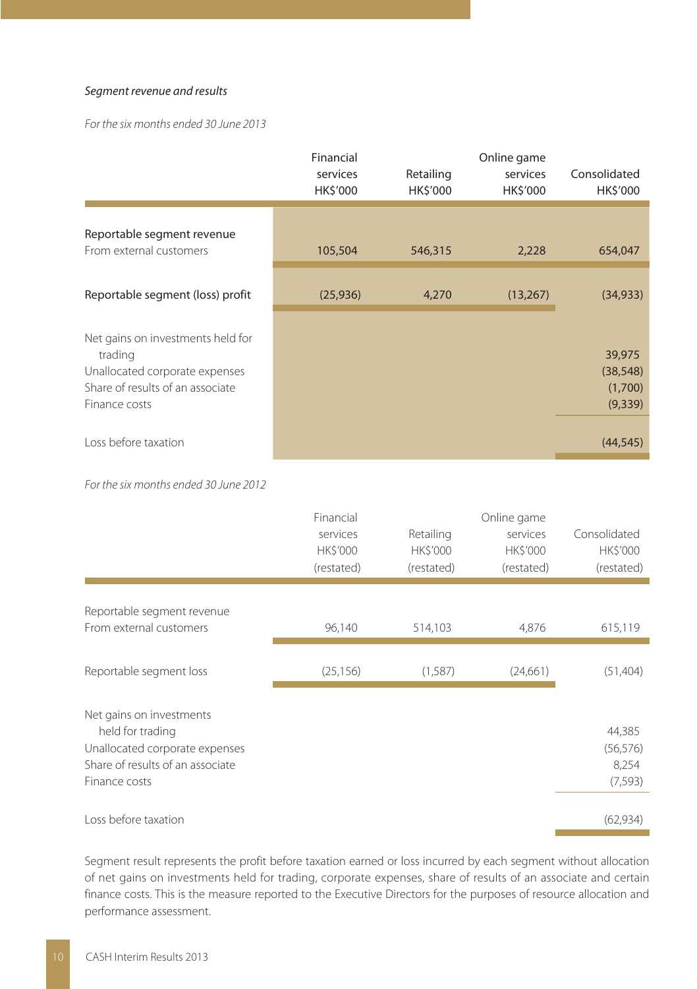#### Segment revenue and results

For the six months ended 30 June 2013

|                                                                                                                                     | Financial<br>services<br>HK\$'000 | Retailing<br>HK\$'000 | Online game<br>services<br>HK\$'000 | Consolidated<br>HK\$'000                  |
|-------------------------------------------------------------------------------------------------------------------------------------|-----------------------------------|-----------------------|-------------------------------------|-------------------------------------------|
| Reportable segment revenue<br>From external customers                                                                               | 105,504                           | 546,315               | 2,228                               | 654,047                                   |
| Reportable segment (loss) profit                                                                                                    | (25,936)                          | 4,270                 | (13,267)                            | (34, 933)                                 |
| Net gains on investments held for<br>trading<br>Unallocated corporate expenses<br>Share of results of an associate<br>Finance costs |                                   |                       |                                     | 39,975<br>(38, 548)<br>(1,700)<br>(9,339) |
| Loss before taxation                                                                                                                |                                   |                       |                                     | (44, 545)                                 |

For the six months ended 30 June 2012

| Consolidated<br><b>HK\$'000</b> |
|---------------------------------|
|                                 |
|                                 |
| (restated)                      |
|                                 |
|                                 |
| 615,119                         |
|                                 |
| (51, 404)                       |
|                                 |
|                                 |
| 44,385                          |
| (56, 576)                       |
| 8,254                           |
| (7, 593)                        |
|                                 |
| (62, 934)                       |
|                                 |

Segment result represents the profit before taxation earned or loss incurred by each segment without allocation of net gains on investments held for trading, corporate expenses, share of results of an associate and certain finance costs. This is the measure reported to the Executive Directors for the purposes of resource allocation and performance assessment.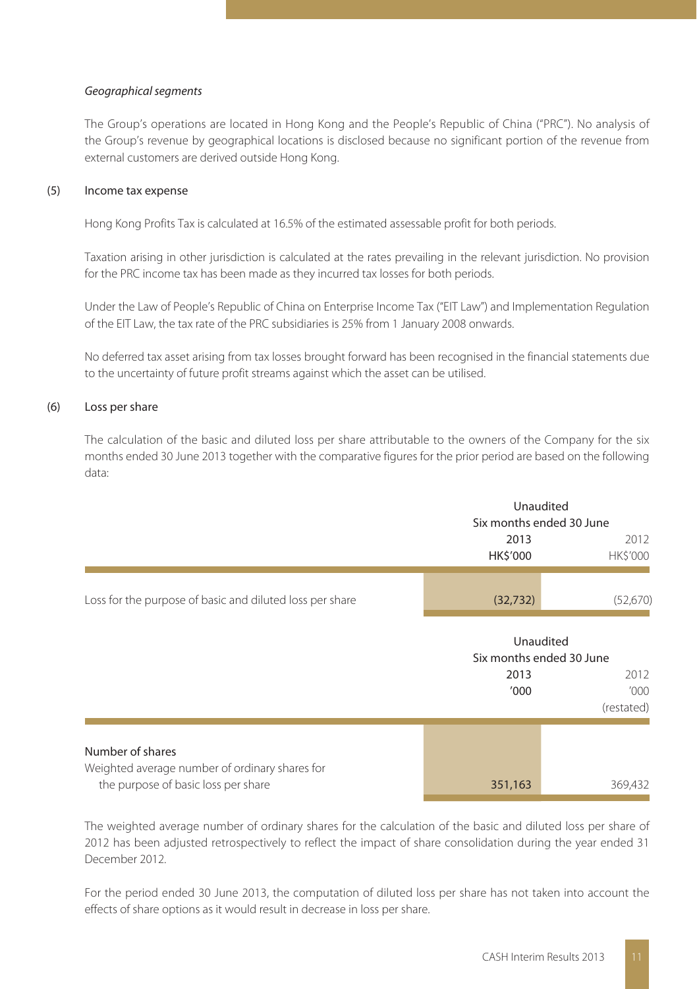#### Geographical segments

The Group's operations are located in Hong Kong and the People's Republic of China ("PRC"). No analysis of the Group's revenue by geographical locations is disclosed because no significant portion of the revenue from external customers are derived outside Hong Kong.

#### (5) Income tax expense

Hong Kong Profits Tax is calculated at 16.5% of the estimated assessable profit for both periods.

Taxation arising in other jurisdiction is calculated at the rates prevailing in the relevant jurisdiction. No provision for the PRC income tax has been made as they incurred tax losses for both periods.

Under the Law of People's Republic of China on Enterprise Income Tax ("EIT Law") and Implementation Regulation of the EIT Law, the tax rate of the PRC subsidiaries is 25% from 1 January 2008 onwards.

No deferred tax asset arising from tax losses brought forward has been recognised in the financial statements due to the uncertainty of future profit streams against which the asset can be utilised.

#### (6) Loss per share

The calculation of the basic and diluted loss per share attributable to the owners of the Company for the six months ended 30 June 2013 together with the comparative figures for the prior period are based on the following data:

|                                                          | Unaudited<br>Six months ended 30 June |          |
|----------------------------------------------------------|---------------------------------------|----------|
|                                                          | 2013<br>HK\$'000                      |          |
| Loss for the purpose of basic and diluted loss per share | (32, 732)                             | (52,670) |

|                                                                                                           | Unaudited<br>Six months ended 30 June |                             |  |
|-----------------------------------------------------------------------------------------------------------|---------------------------------------|-----------------------------|--|
|                                                                                                           | 2013<br>'000                          | 2012<br>'000'<br>(restated) |  |
| Number of shares<br>Weighted average number of ordinary shares for<br>the purpose of basic loss per share | 351,163                               | 369,432                     |  |

The weighted average number of ordinary shares for the calculation of the basic and diluted loss per share of 2012 has been adjusted retrospectively to reflect the impact of share consolidation during the year ended 31 December 2012.

For the period ended 30 June 2013, the computation of diluted loss per share has not taken into account the effects of share options as it would result in decrease in loss per share.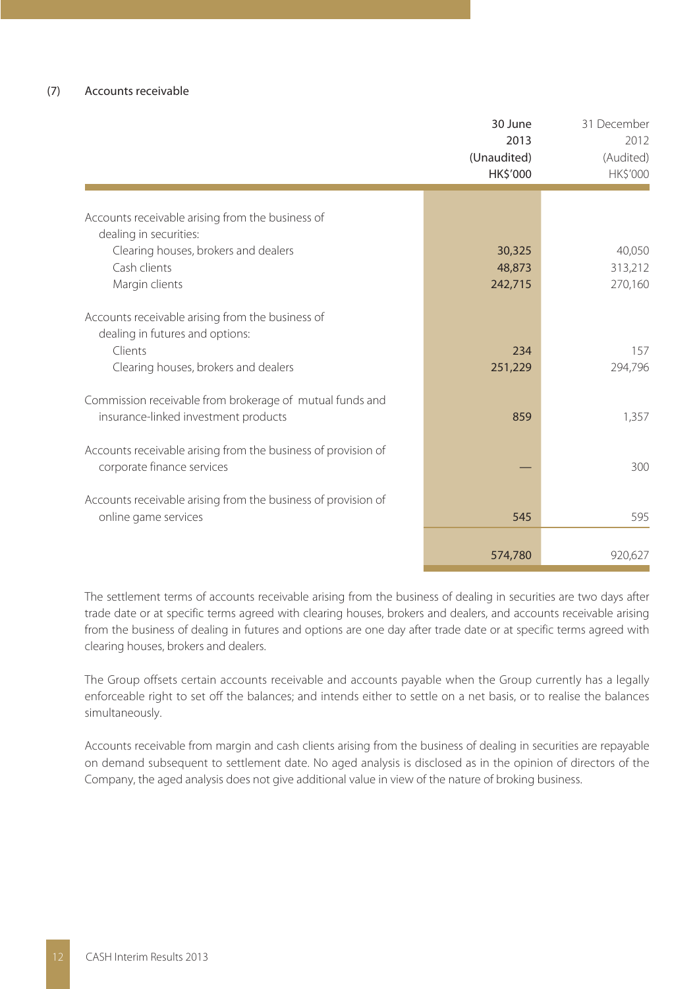|                                                                                                                                        | 30 June<br>2013<br>(Unaudited)<br>HK\$'000 | 31 December<br>2012<br>(Audited)<br>HK\$'000 |
|----------------------------------------------------------------------------------------------------------------------------------------|--------------------------------------------|----------------------------------------------|
|                                                                                                                                        |                                            |                                              |
| Accounts receivable arising from the business of                                                                                       |                                            |                                              |
| dealing in securities:                                                                                                                 |                                            |                                              |
| Clearing houses, brokers and dealers                                                                                                   | 30,325                                     | 40.050                                       |
| Cash clients                                                                                                                           | 48,873                                     | 313,212                                      |
| Margin clients                                                                                                                         | 242,715                                    | 270,160                                      |
| Accounts receivable arising from the business of<br>dealing in futures and options:<br>Clients<br>Clearing houses, brokers and dealers | 234<br>251,229                             | 157<br>294,796                               |
| Commission receivable from brokerage of mutual funds and<br>insurance-linked investment products                                       | 859                                        | 1,357                                        |
| Accounts receivable arising from the business of provision of<br>corporate finance services                                            |                                            | 300                                          |
| Accounts receivable arising from the business of provision of<br>online game services                                                  | 545                                        | 595                                          |
|                                                                                                                                        | 574,780                                    | 920,627                                      |

The settlement terms of accounts receivable arising from the business of dealing in securities are two days after trade date or at specific terms agreed with clearing houses, brokers and dealers, and accounts receivable arising from the business of dealing in futures and options are one day after trade date or at specific terms agreed with clearing houses, brokers and dealers.

The Group offsets certain accounts receivable and accounts payable when the Group currently has a legally enforceable right to set off the balances; and intends either to settle on a net basis, or to realise the balances simultaneously.

Accounts receivable from margin and cash clients arising from the business of dealing in securities are repayable on demand subsequent to settlement date. No aged analysis is disclosed as in the opinion of directors of the Company, the aged analysis does not give additional value in view of the nature of broking business.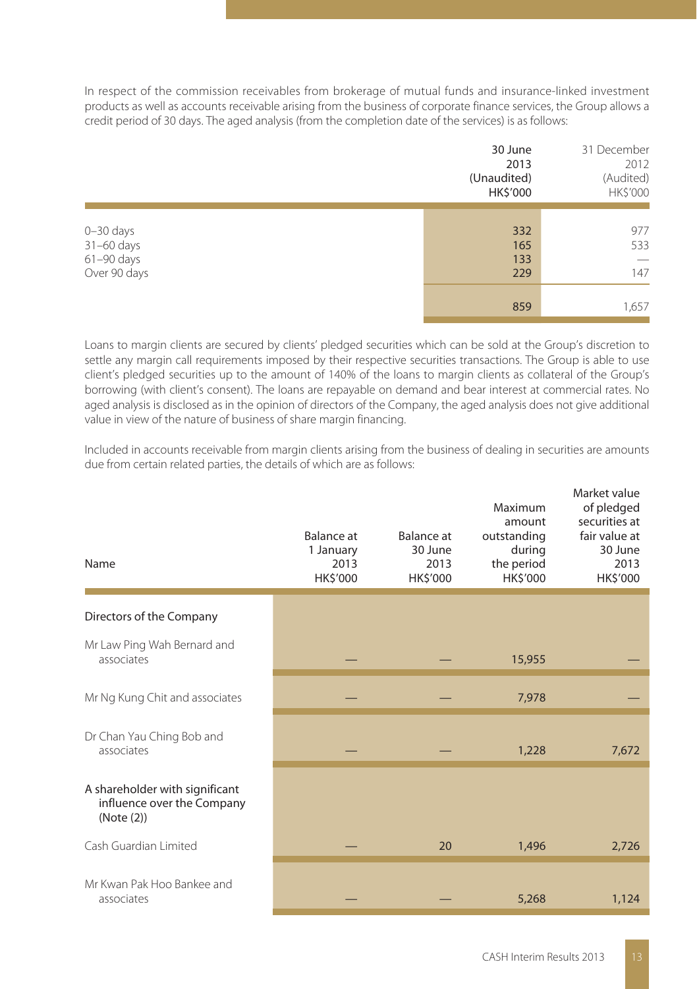In respect of the commission receivables from brokerage of mutual funds and insurance-linked investment products as well as accounts receivable arising from the business of corporate finance services, the Group allows a credit period of 30 days. The aged analysis (from the completion date of the services) is as follows:

|                                                             | 30 June<br>2013<br>(Unaudited)<br>HK\$'000 | 31 December<br>2012<br>(Audited)<br>HK\$'000         |
|-------------------------------------------------------------|--------------------------------------------|------------------------------------------------------|
| $0 - 30$ days<br>$31-60$ days<br>61-90 days<br>Over 90 days | 332<br>165<br>133<br>229                   | 977<br>533<br>$\hspace{0.1mm}-\hspace{0.1mm}$<br>147 |
|                                                             | 859                                        | 1,657                                                |

Loans to margin clients are secured by clients' pledged securities which can be sold at the Group's discretion to settle any margin call requirements imposed by their respective securities transactions. The Group is able to use client's pledged securities up to the amount of 140% of the loans to margin clients as collateral of the Group's borrowing (with client's consent). The loans are repayable on demand and bear interest at commercial rates. No aged analysis is disclosed as in the opinion of directors of the Company, the aged analysis does not give additional value in view of the nature of business of share margin financing.

Included in accounts receivable from margin clients arising from the business of dealing in securities are amounts due from certain related parties, the details of which are as follows:

| Name                                                                       | Balance at<br>1 January<br>2013<br>HK\$'000 | Balance at<br>30 June<br>2013<br>HK\$'000 | Maximum<br>amount<br>outstanding<br>during<br>the period<br>HK\$'000 | Market value<br>of pledged<br>securities at<br>fair value at<br>30 June<br>2013<br>HK\$'000 |
|----------------------------------------------------------------------------|---------------------------------------------|-------------------------------------------|----------------------------------------------------------------------|---------------------------------------------------------------------------------------------|
| Directors of the Company                                                   |                                             |                                           |                                                                      |                                                                                             |
| Mr Law Ping Wah Bernard and<br>associates                                  |                                             |                                           | 15,955                                                               |                                                                                             |
| Mr Ng Kung Chit and associates                                             |                                             |                                           | 7,978                                                                |                                                                                             |
| Dr Chan Yau Ching Bob and<br>associates                                    |                                             |                                           | 1,228                                                                | 7,672                                                                                       |
| A shareholder with significant<br>influence over the Company<br>(Note (2)) |                                             |                                           |                                                                      |                                                                                             |
| Cash Guardian Limited                                                      |                                             | 20                                        | 1,496                                                                | 2,726                                                                                       |
| Mr Kwan Pak Hoo Bankee and<br>associates                                   |                                             |                                           | 5,268                                                                | 1,124                                                                                       |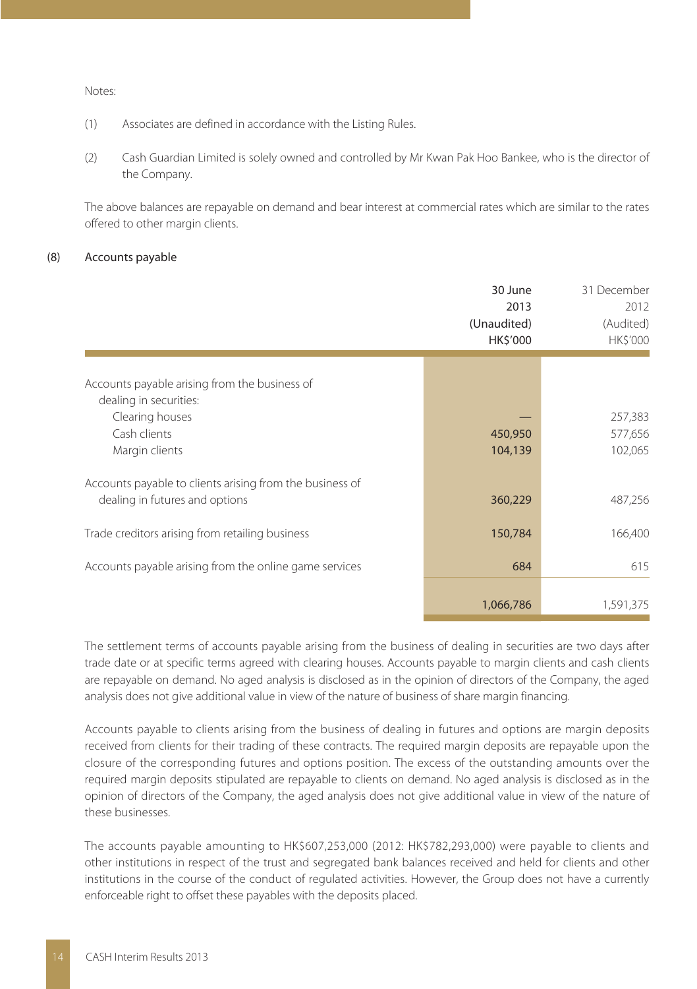#### Notes:

- (1) Associates are defined in accordance with the Listing Rules.
- (2) Cash Guardian Limited is solely owned and controlled by Mr Kwan Pak Hoo Bankee, who is the director of the Company.

The above balances are repayable on demand and bear interest at commercial rates which are similar to the rates offered to other margin clients.

#### (8) Accounts payable

|                                                                                            | 30 June<br>2013<br>(Unaudited)<br><b>HK\$'000</b> | 31 December<br>2012<br>(Audited)<br><b>HK\$'000</b> |
|--------------------------------------------------------------------------------------------|---------------------------------------------------|-----------------------------------------------------|
| Accounts payable arising from the business of<br>dealing in securities:                    |                                                   |                                                     |
| Clearing houses<br>Cash clients<br>Margin clients                                          | 450,950<br>104,139                                | 257,383<br>577,656<br>102,065                       |
| Accounts payable to clients arising from the business of<br>dealing in futures and options | 360,229                                           | 487,256                                             |
| Trade creditors arising from retailing business                                            | 150,784                                           | 166,400                                             |
| Accounts payable arising from the online game services                                     | 684                                               | 615                                                 |
|                                                                                            | 1,066,786                                         | 1,591,375                                           |

The settlement terms of accounts payable arising from the business of dealing in securities are two days after trade date or at specific terms agreed with clearing houses. Accounts payable to margin clients and cash clients are repayable on demand. No aged analysis is disclosed as in the opinion of directors of the Company, the aged analysis does not give additional value in view of the nature of business of share margin financing.

Accounts payable to clients arising from the business of dealing in futures and options are margin deposits received from clients for their trading of these contracts. The required margin deposits are repayable upon the closure of the corresponding futures and options position. The excess of the outstanding amounts over the required margin deposits stipulated are repayable to clients on demand. No aged analysis is disclosed as in the opinion of directors of the Company, the aged analysis does not give additional value in view of the nature of these businesses.

The accounts payable amounting to HK\$607,253,000 (2012: HK\$782,293,000) were payable to clients and other institutions in respect of the trust and segregated bank balances received and held for clients and other institutions in the course of the conduct of regulated activities. However, the Group does not have a currently enforceable right to offset these payables with the deposits placed.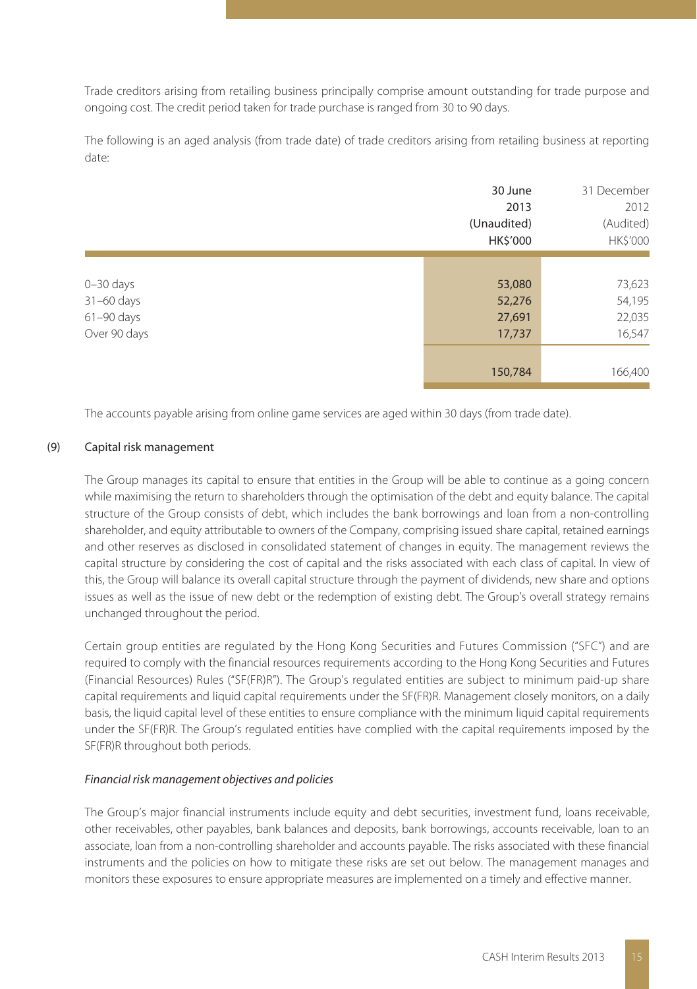Trade creditors arising from retailing business principally comprise amount outstanding for trade purpose and ongoing cost. The credit period taken for trade purchase is ranged from 30 to 90 days.

The following is an aged analysis (from trade date) of trade creditors arising from retailing business at reporting date:

|                | 30 June     | 31 December |
|----------------|-------------|-------------|
|                | 2013        | 2012        |
|                | (Unaudited) | (Audited)   |
|                | HK\$'000    | HK\$'000    |
|                |             |             |
| $0 - 30$ days  | 53,080      | 73,623      |
| 31-60 days     | 52,276      | 54,195      |
| $61 - 90$ days | 27,691      | 22,035      |
| Over 90 days   | 17,737      | 16,547      |
|                |             |             |
|                | 150,784     | 166,400     |

The accounts payable arising from online game services are aged within 30 days (from trade date).

#### (9) Capital risk management

The Group manages its capital to ensure that entities in the Group will be able to continue as a going concern while maximising the return to shareholders through the optimisation of the debt and equity balance. The capital structure of the Group consists of debt, which includes the bank borrowings and loan from a non-controlling shareholder, and equity attributable to owners of the Company, comprising issued share capital, retained earnings and other reserves as disclosed in consolidated statement of changes in equity. The management reviews the capital structure by considering the cost of capital and the risks associated with each class of capital. In view of this, the Group will balance its overall capital structure through the payment of dividends, new share and options issues as well as the issue of new debt or the redemption of existing debt. The Group's overall strategy remains unchanged throughout the period.

Certain group entities are regulated by the Hong Kong Securities and Futures Commission ("SFC") and are required to comply with the financial resources requirements according to the Hong Kong Securities and Futures (Financial Resources) Rules ("SF(FR)R"). The Group's regulated entities are subject to minimum paid-up share capital requirements and liquid capital requirements under the SF(FR)R. Management closely monitors, on a daily basis, the liquid capital level of these entities to ensure compliance with the minimum liquid capital requirements under the SF(FR)R. The Group's regulated entities have complied with the capital requirements imposed by the SF(FR)R throughout both periods.

#### Financial risk management objectives and policies

The Group's major financial instruments include equity and debt securities, investment fund, loans receivable, other receivables, other payables, bank balances and deposits, bank borrowings, accounts receivable, loan to an associate, loan from a non-controlling shareholder and accounts payable. The risks associated with these financial instruments and the policies on how to mitigate these risks are set out below. The management manages and monitors these exposures to ensure appropriate measures are implemented on a timely and effective manner.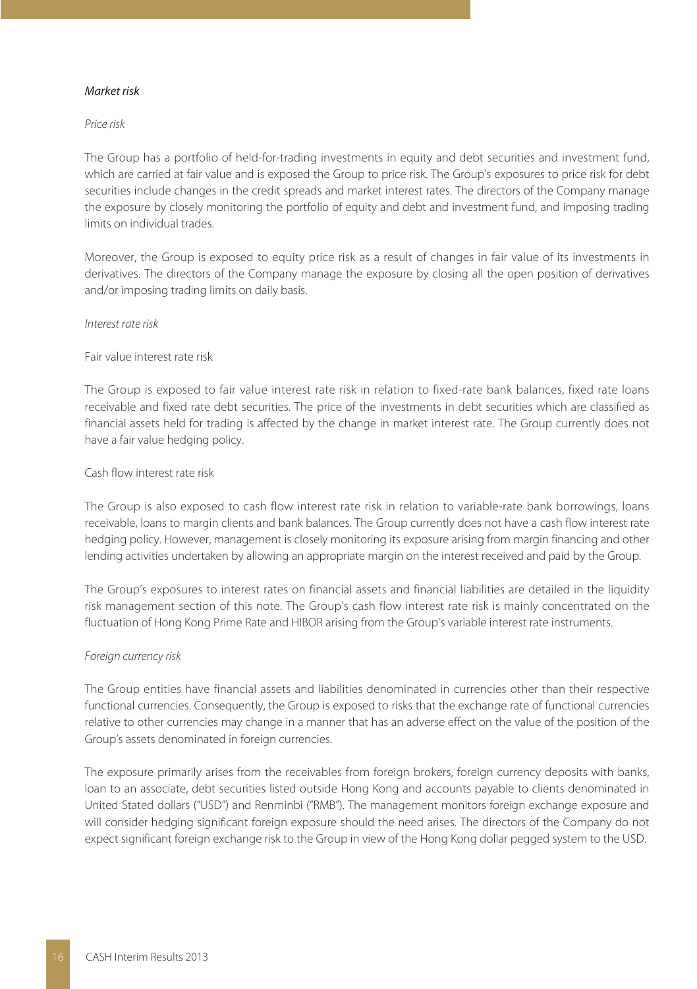#### Market risk

#### Price risk

The Group has a portfolio of held-for-trading investments in equity and debt securities and investment fund, which are carried at fair value and is exposed the Group to price risk. The Group's exposures to price risk for debt securities include changes in the credit spreads and market interest rates. The directors of the Company manage the exposure by closely monitoring the portfolio of equity and debt and investment fund, and imposing trading limits on individual trades.

Moreover, the Group is exposed to equity price risk as a result of changes in fair value of its investments in derivatives. The directors of the Company manage the exposure by closing all the open position of derivatives and/or imposing trading limits on daily basis.

#### Interest rate risk

#### Fair value interest rate risk

The Group is exposed to fair value interest rate risk in relation to fixed-rate bank balances, fixed rate loans receivable and fixed rate debt securities. The price of the investments in debt securities which are classified as financial assets held for trading is affected by the change in market interest rate. The Group currently does not have a fair value hedging policy.

#### Cash flow interest rate risk

The Group is also exposed to cash flow interest rate risk in relation to variable-rate bank borrowings, loans receivable, loans to margin clients and bank balances. The Group currently does not have a cash flow interest rate hedging policy. However, management is closely monitoring its exposure arising from margin financing and other lending activities undertaken by allowing an appropriate margin on the interest received and paid by the Group.

The Group's exposures to interest rates on financial assets and financial liabilities are detailed in the liquidity risk management section of this note. The Group's cash flow interest rate risk is mainly concentrated on the fluctuation of Hong Kong Prime Rate and HIBOR arising from the Group's variable interest rate instruments.

#### Foreign currency risk

The Group entities have financial assets and liabilities denominated in currencies other than their respective functional currencies. Consequently, the Group is exposed to risks that the exchange rate of functional currencies relative to other currencies may change in a manner that has an adverse effect on the value of the position of the Group's assets denominated in foreign currencies.

The exposure primarily arises from the receivables from foreign brokers, foreign currency deposits with banks, loan to an associate, debt securities listed outside Hong Kong and accounts payable to clients denominated in United Stated dollars ("USD") and Renminbi ("RMB"). The management monitors foreign exchange exposure and will consider hedging significant foreign exposure should the need arises. The directors of the Company do not expect significant foreign exchange risk to the Group in view of the Hong Kong dollar pegged system to the USD.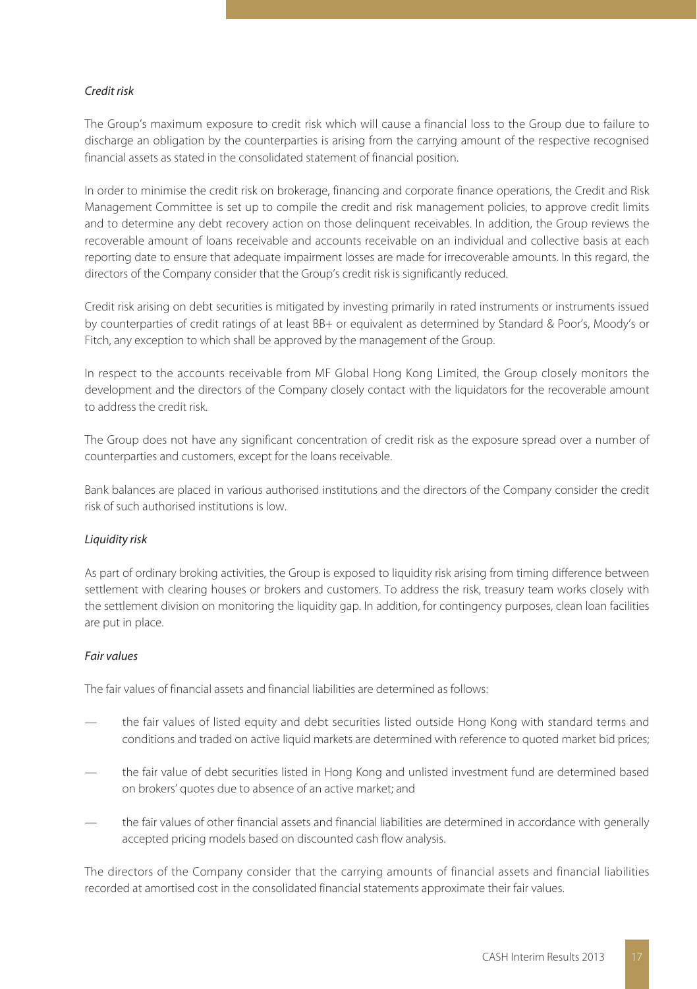#### Credit risk

The Group's maximum exposure to credit risk which will cause a financial loss to the Group due to failure to discharge an obligation by the counterparties is arising from the carrying amount of the respective recognised financial assets as stated in the consolidated statement of financial position.

In order to minimise the credit risk on brokerage, financing and corporate finance operations, the Credit and Risk Management Committee is set up to compile the credit and risk management policies, to approve credit limits and to determine any debt recovery action on those delinquent receivables. In addition, the Group reviews the recoverable amount of loans receivable and accounts receivable on an individual and collective basis at each reporting date to ensure that adequate impairment losses are made for irrecoverable amounts. In this regard, the directors of the Company consider that the Group's credit risk is significantly reduced.

Credit risk arising on debt securities is mitigated by investing primarily in rated instruments or instruments issued by counterparties of credit ratings of at least BB+ or equivalent as determined by Standard & Poor's, Moody's or Fitch, any exception to which shall be approved by the management of the Group.

In respect to the accounts receivable from MF Global Hong Kong Limited, the Group closely monitors the development and the directors of the Company closely contact with the liquidators for the recoverable amount to address the credit risk.

The Group does not have any significant concentration of credit risk as the exposure spread over a number of counterparties and customers, except for the loans receivable.

Bank balances are placed in various authorised institutions and the directors of the Company consider the credit risk of such authorised institutions is low.

#### Liquidity risk

As part of ordinary broking activities, the Group is exposed to liquidity risk arising from timing difference between settlement with clearing houses or brokers and customers. To address the risk, treasury team works closely with the settlement division on monitoring the liquidity gap. In addition, for contingency purposes, clean loan facilities are put in place.

#### Fair values

The fair values of financial assets and financial liabilities are determined as follows:

- the fair values of listed equity and debt securities listed outside Hong Kong with standard terms and conditions and traded on active liquid markets are determined with reference to quoted market bid prices;
- the fair value of debt securities listed in Hong Kong and unlisted investment fund are determined based on brokers' quotes due to absence of an active market; and
- the fair values of other financial assets and financial liabilities are determined in accordance with generally accepted pricing models based on discounted cash flow analysis.

The directors of the Company consider that the carrying amounts of financial assets and financial liabilities recorded at amortised cost in the consolidated financial statements approximate their fair values.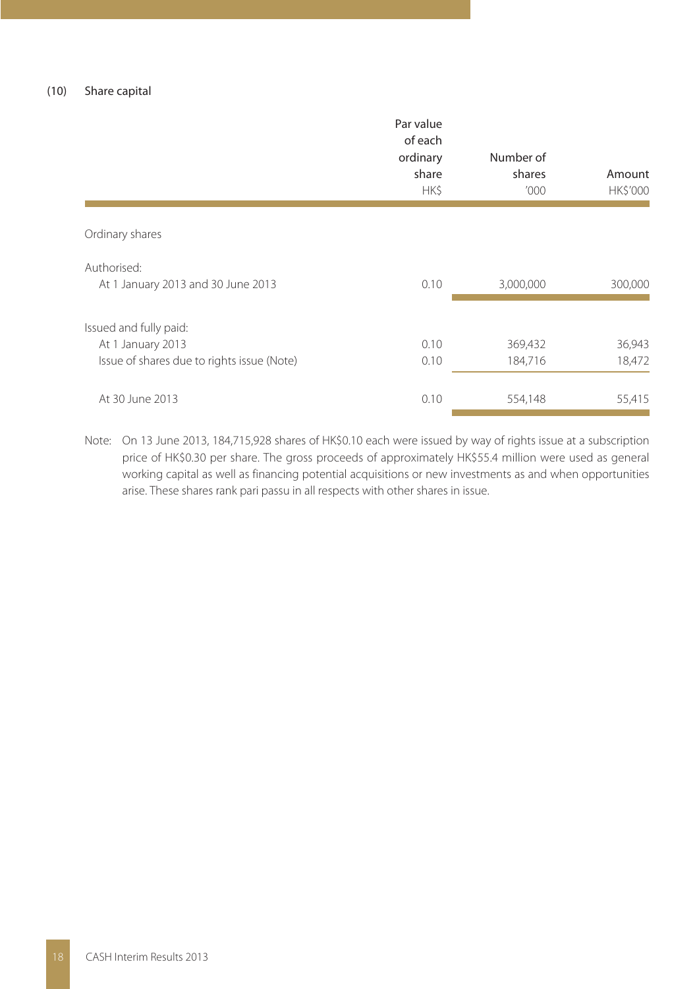|                                                                                           | Par value<br>of each<br>ordinary<br>share<br>HK\$ | Number of<br>shares<br>'000 | Amount<br>HK\$'000 |
|-------------------------------------------------------------------------------------------|---------------------------------------------------|-----------------------------|--------------------|
| Ordinary shares                                                                           |                                                   |                             |                    |
| Authorised:<br>At 1 January 2013 and 30 June 2013                                         | 0.10                                              | 3,000,000                   | 300,000            |
| Issued and fully paid:<br>At 1 January 2013<br>Issue of shares due to rights issue (Note) | 0.10<br>0.10                                      | 369,432<br>184,716          | 36,943<br>18,472   |
| At 30 June 2013                                                                           | 0.10                                              | 554,148                     | 55,415             |

Note: On 13 June 2013, 184,715,928 shares of HK\$0.10 each were issued by way of rights issue at a subscription price of HK\$0.30 per share. The gross proceeds of approximately HK\$55.4 million were used as general working capital as well as financing potential acquisitions or new investments as and when opportunities arise. These shares rank pari passu in all respects with other shares in issue.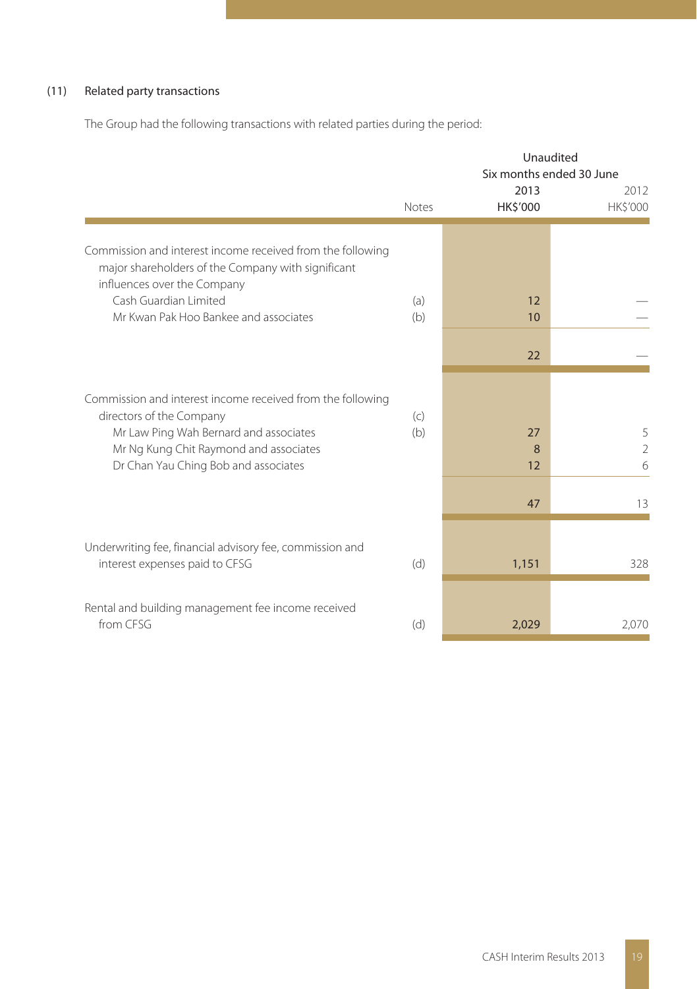### (11) Related party transactions

The Group had the following transactions with related parties during the period:

|                                                                                                                                                 | Unaudited<br>Six months ended 30 June<br>2013 |                 |                          |  |
|-------------------------------------------------------------------------------------------------------------------------------------------------|-----------------------------------------------|-----------------|--------------------------|--|
|                                                                                                                                                 | Notes                                         | <b>HK\$'000</b> | 2012<br>HK\$'000         |  |
| Commission and interest income received from the following<br>major shareholders of the Company with significant<br>influences over the Company |                                               |                 |                          |  |
| Cash Guardian Limited<br>Mr Kwan Pak Hoo Bankee and associates                                                                                  | (a)<br>(b)                                    | 12<br>10        |                          |  |
|                                                                                                                                                 |                                               | 22              |                          |  |
| Commission and interest income received from the following<br>directors of the Company                                                          | (c)                                           |                 |                          |  |
| Mr Law Ping Wah Bernard and associates<br>Mr Ng Kung Chit Raymond and associates<br>Dr Chan Yau Ching Bob and associates                        | (b)                                           | 27<br>8<br>12   | 5<br>$\overline{2}$<br>6 |  |
|                                                                                                                                                 |                                               | 47              | 13                       |  |
| Underwriting fee, financial advisory fee, commission and<br>interest expenses paid to CFSG                                                      | (d)                                           | 1,151           | 328                      |  |
| Rental and building management fee income received<br>from CESG                                                                                 | (d)                                           | 2,029           | 2,070                    |  |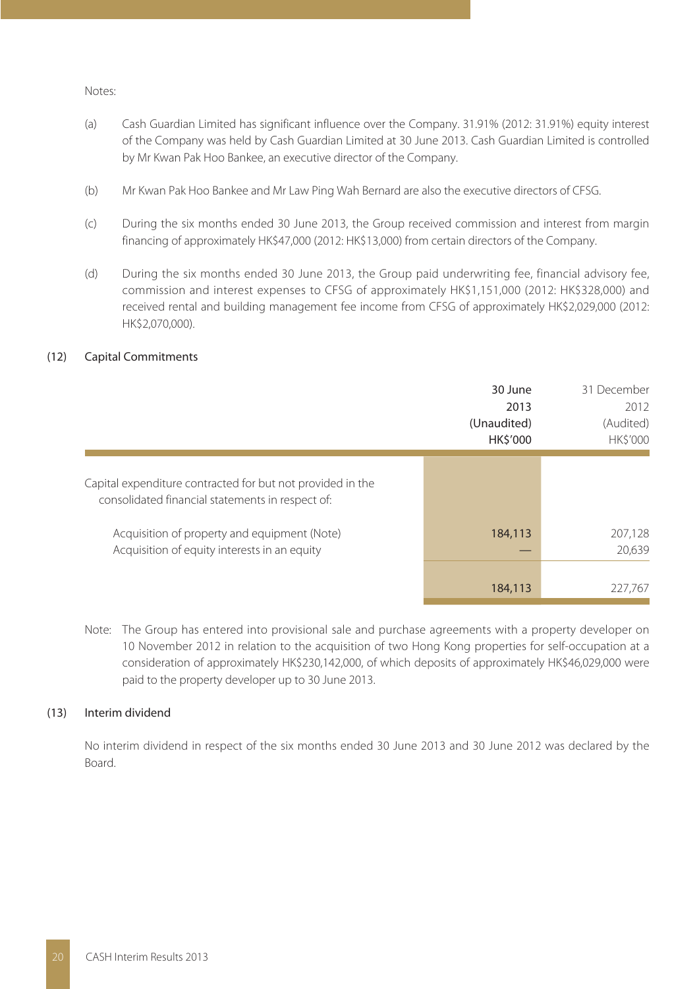Notes:

- (a) Cash Guardian Limited has significant influence over the Company. 31.91% (2012: 31.91%) equity interest of the Company was held by Cash Guardian Limited at 30 June 2013. Cash Guardian Limited is controlled by Mr Kwan Pak Hoo Bankee, an executive director of the Company.
- (b) Mr Kwan Pak Hoo Bankee and Mr Law Ping Wah Bernard are also the executive directors of CFSG.
- (c) During the six months ended 30 June 2013, the Group received commission and interest from margin financing of approximately HK\$47,000 (2012: HK\$13,000) from certain directors of the Company.
- (d) During the six months ended 30 June 2013, the Group paid underwriting fee, financial advisory fee, commission and interest expenses to CFSG of approximately HK\$1,151,000 (2012: HK\$328,000) and received rental and building management fee income from CFSG of approximately HK\$2,029,000 (2012: HK\$2,070,000).

#### (12) Capital Commitments

|                                                                                                                | 30 June<br>2013<br>(Unaudited)<br><b>HK\$'000</b> | 31 December<br>2012<br>(Audited)<br>HK\$'000 |
|----------------------------------------------------------------------------------------------------------------|---------------------------------------------------|----------------------------------------------|
| Capital expenditure contracted for but not provided in the<br>consolidated financial statements in respect of: |                                                   |                                              |
| Acquisition of property and equipment (Note)<br>Acquisition of equity interests in an equity                   | 184,113                                           | 207,128<br>20,639                            |
|                                                                                                                | 184,113                                           | 227,767                                      |

Note: The Group has entered into provisional sale and purchase agreements with a property developer on 10 November 2012 in relation to the acquisition of two Hong Kong properties for self-occupation at a consideration of approximately HK\$230,142,000, of which deposits of approximately HK\$46,029,000 were paid to the property developer up to 30 June 2013.

#### (13) Interim dividend

No interim dividend in respect of the six months ended 30 June 2013 and 30 June 2012 was declared by the Board.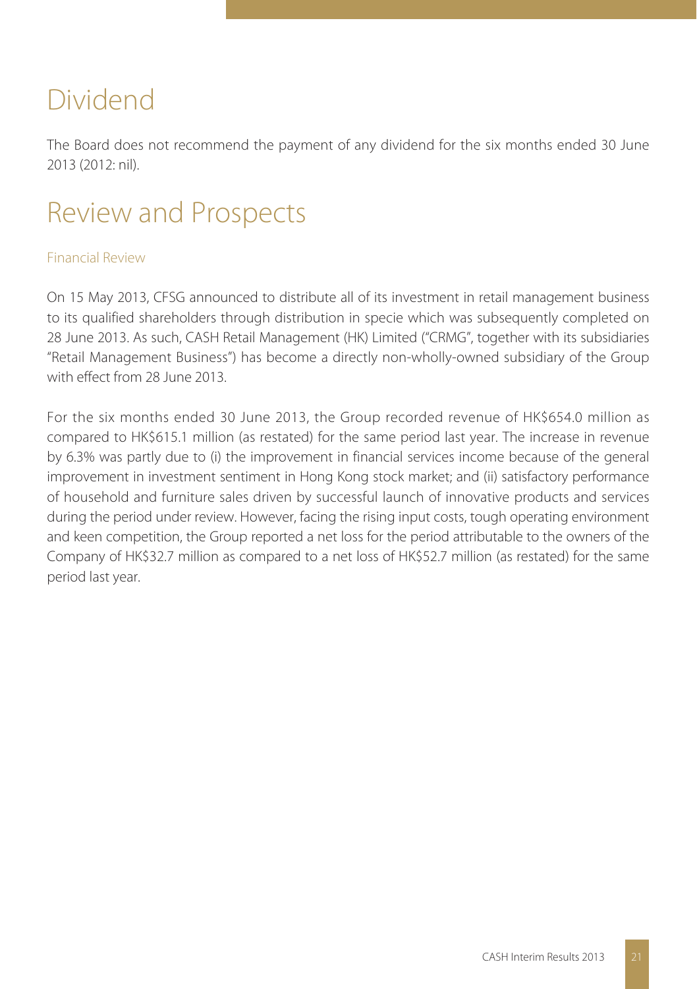## Dividend

The Board does not recommend the payment of any dividend for the six months ended 30 June 2013 (2012: nil).

## Review and Prospects

## Financial Review

On 15 May 2013, CFSG announced to distribute all of its investment in retail management business to its qualified shareholders through distribution in specie which was subsequently completed on 28 June 2013. As such, CASH Retail Management (HK) Limited ("CRMG", together with its subsidiaries "Retail Management Business") has become a directly non-wholly-owned subsidiary of the Group with effect from 28 June 2013.

For the six months ended 30 June 2013, the Group recorded revenue of HK\$654.0 million as compared to HK\$615.1 million (as restated) for the same period last year. The increase in revenue by 6.3% was partly due to (i) the improvement in financial services income because of the general improvement in investment sentiment in Hong Kong stock market; and (ii) satisfactory performance of household and furniture sales driven by successful launch of innovative products and services during the period under review. However, facing the rising input costs, tough operating environment and keen competition, the Group reported a net loss for the period attributable to the owners of the Company of HK\$32.7 million as compared to a net loss of HK\$52.7 million (as restated) for the same period last year.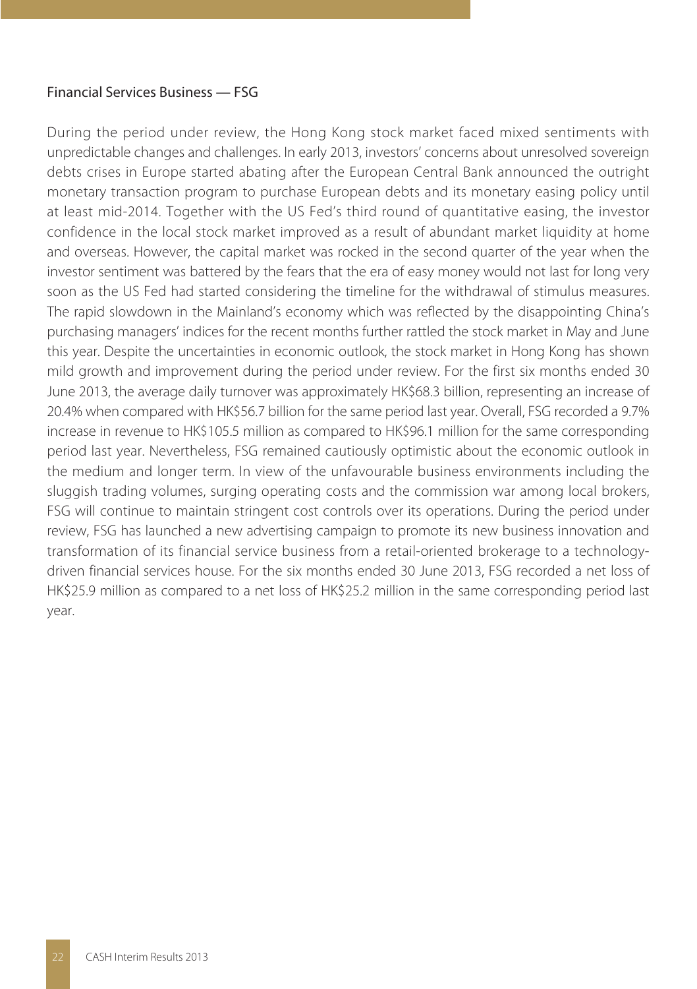### Financial Services Business — FSG

During the period under review, the Hong Kong stock market faced mixed sentiments with unpredictable changes and challenges. In early 2013, investors' concerns about unresolved sovereign debts crises in Europe started abating after the European Central Bank announced the outright monetary transaction program to purchase European debts and its monetary easing policy until at least mid-2014. Together with the US Fed's third round of quantitative easing, the investor confidence in the local stock market improved as a result of abundant market liquidity at home and overseas. However, the capital market was rocked in the second quarter of the year when the investor sentiment was battered by the fears that the era of easy money would not last for long very soon as the US Fed had started considering the timeline for the withdrawal of stimulus measures. The rapid slowdown in the Mainland's economy which was reflected by the disappointing China's purchasing managers' indices for the recent months further rattled the stock market in May and June this year. Despite the uncertainties in economic outlook, the stock market in Hong Kong has shown mild growth and improvement during the period under review. For the first six months ended 30 June 2013, the average daily turnover was approximately HK\$68.3 billion, representing an increase of 20.4% when compared with HK\$56.7 billion for the same period last year. Overall, FSG recorded a 9.7% increase in revenue to HK\$105.5 million as compared to HK\$96.1 million for the same corresponding period last year. Nevertheless, FSG remained cautiously optimistic about the economic outlook in the medium and longer term. In view of the unfavourable business environments including the sluggish trading volumes, surging operating costs and the commission war among local brokers, FSG will continue to maintain stringent cost controls over its operations. During the period under review, FSG has launched a new advertising campaign to promote its new business innovation and transformation of its financial service business from a retail-oriented brokerage to a technologydriven financial services house. For the six months ended 30 June 2013, FSG recorded a net loss of HK\$25.9 million as compared to a net loss of HK\$25.2 million in the same corresponding period last year.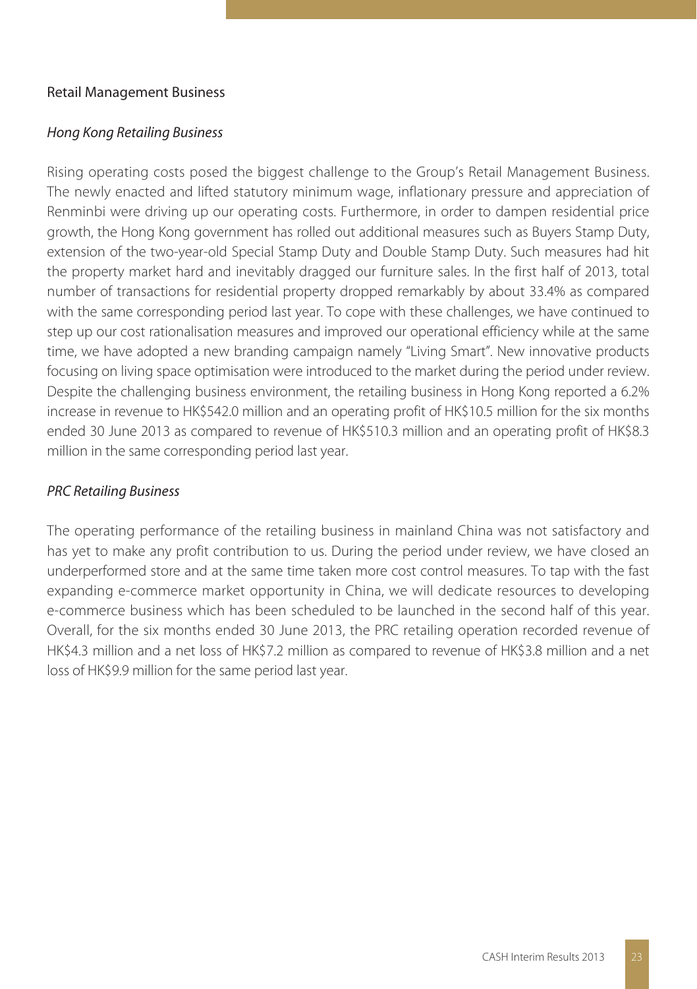### Retail Management Business

### Hong Kong Retailing Business

Rising operating costs posed the biggest challenge to the Group's Retail Management Business. The newly enacted and lifted statutory minimum wage, inflationary pressure and appreciation of Renminbi were driving up our operating costs. Furthermore, in order to dampen residential price growth, the Hong Kong government has rolled out additional measures such as Buyers Stamp Duty, extension of the two-year-old Special Stamp Duty and Double Stamp Duty. Such measures had hit the property market hard and inevitably dragged our furniture sales. In the first half of 2013, total number of transactions for residential property dropped remarkably by about 33.4% as compared with the same corresponding period last year. To cope with these challenges, we have continued to step up our cost rationalisation measures and improved our operational efficiency while at the same time, we have adopted a new branding campaign namely "Living Smart". New innovative products focusing on living space optimisation were introduced to the market during the period under review. Despite the challenging business environment, the retailing business in Hong Kong reported a 6.2% increase in revenue to HK\$542.0 million and an operating profit of HK\$10.5 million for the six months ended 30 June 2013 as compared to revenue of HK\$510.3 million and an operating profit of HK\$8.3 million in the same corresponding period last year.

### PRC Retailing Business

The operating performance of the retailing business in mainland China was not satisfactory and has yet to make any profit contribution to us. During the period under review, we have closed an underperformed store and at the same time taken more cost control measures. To tap with the fast expanding e-commerce market opportunity in China, we will dedicate resources to developing e-commerce business which has been scheduled to be launched in the second half of this year. Overall, for the six months ended 30 June 2013, the PRC retailing operation recorded revenue of HK\$4.3 million and a net loss of HK\$7.2 million as compared to revenue of HK\$3.8 million and a net loss of HK\$9.9 million for the same period last year.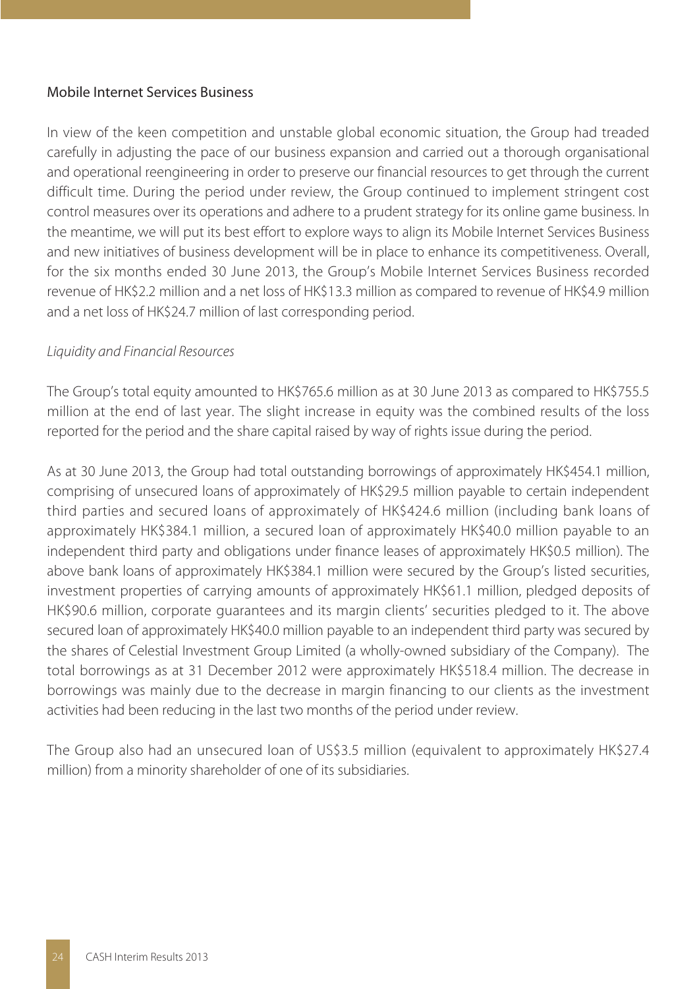### Mobile Internet Services Business

In view of the keen competition and unstable global economic situation, the Group had treaded carefully in adjusting the pace of our business expansion and carried out a thorough organisational and operational reengineering in order to preserve our financial resources to get through the current difficult time. During the period under review, the Group continued to implement stringent cost control measures over its operations and adhere to a prudent strategy for its online game business. In the meantime, we will put its best effort to explore ways to align its Mobile Internet Services Business and new initiatives of business development will be in place to enhance its competitiveness. Overall, for the six months ended 30 June 2013, the Group's Mobile Internet Services Business recorded revenue of HK\$2.2 million and a net loss of HK\$13.3 million as compared to revenue of HK\$4.9 million and a net loss of HK\$24.7 million of last corresponding period.

#### Liquidity and Financial Resources

The Group's total equity amounted to HK\$765.6 million as at 30 June 2013 as compared to HK\$755.5 million at the end of last year. The slight increase in equity was the combined results of the loss reported for the period and the share capital raised by way of rights issue during the period.

As at 30 June 2013, the Group had total outstanding borrowings of approximately HK\$454.1 million, comprising of unsecured loans of approximately of HK\$29.5 million payable to certain independent third parties and secured loans of approximately of HK\$424.6 million (including bank loans of approximately HK\$384.1 million, a secured loan of approximately HK\$40.0 million payable to an independent third party and obligations under finance leases of approximately HK\$0.5 million). The above bank loans of approximately HK\$384.1 million were secured by the Group's listed securities, investment properties of carrying amounts of approximately HK\$61.1 million, pledged deposits of HK\$90.6 million, corporate guarantees and its margin clients' securities pledged to it. The above secured loan of approximately HK\$40.0 million payable to an independent third party was secured by the shares of Celestial Investment Group Limited (a wholly-owned subsidiary of the Company). The total borrowings as at 31 December 2012 were approximately HK\$518.4 million. The decrease in borrowings was mainly due to the decrease in margin financing to our clients as the investment activities had been reducing in the last two months of the period under review.

The Group also had an unsecured loan of US\$3.5 million (equivalent to approximately HK\$27.4 million) from a minority shareholder of one of its subsidiaries.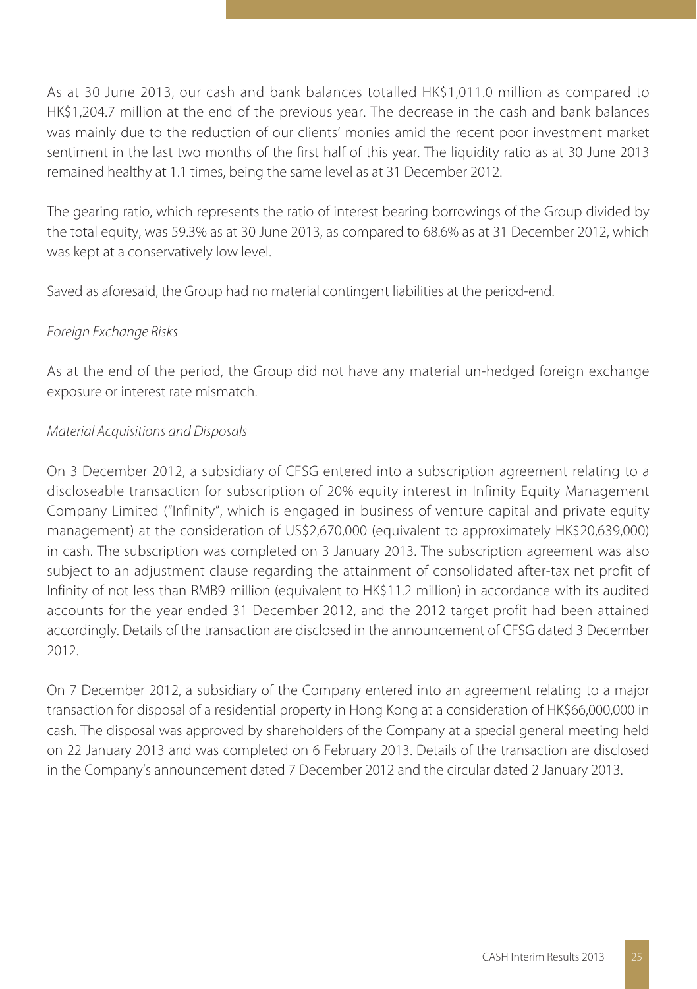As at 30 June 2013, our cash and bank balances totalled HK\$1,011.0 million as compared to HK\$1,204.7 million at the end of the previous year. The decrease in the cash and bank balances was mainly due to the reduction of our clients' monies amid the recent poor investment market sentiment in the last two months of the first half of this year. The liquidity ratio as at 30 June 2013 remained healthy at 1.1 times, being the same level as at 31 December 2012.

The gearing ratio, which represents the ratio of interest bearing borrowings of the Group divided by the total equity, was 59.3% as at 30 June 2013, as compared to 68.6% as at 31 December 2012, which was kept at a conservatively low level.

Saved as aforesaid, the Group had no material contingent liabilities at the period-end.

## Foreign Exchange Risks

As at the end of the period, the Group did not have any material un-hedged foreign exchange exposure or interest rate mismatch.

## Material Acquisitions and Disposals

On 3 December 2012, a subsidiary of CFSG entered into a subscription agreement relating to a discloseable transaction for subscription of 20% equity interest in Infinity Equity Management Company Limited ("Infinity", which is engaged in business of venture capital and private equity management) at the consideration of US\$2,670,000 (equivalent to approximately HK\$20,639,000) in cash. The subscription was completed on 3 January 2013. The subscription agreement was also subject to an adjustment clause regarding the attainment of consolidated after-tax net profit of Infinity of not less than RMB9 million (equivalent to HK\$11.2 million) in accordance with its audited accounts for the year ended 31 December 2012, and the 2012 target profit had been attained accordingly. Details of the transaction are disclosed in the announcement of CFSG dated 3 December 2012.

On 7 December 2012, a subsidiary of the Company entered into an agreement relating to a major transaction for disposal of a residential property in Hong Kong at a consideration of HK\$66,000,000 in cash. The disposal was approved by shareholders of the Company at a special general meeting held on 22 January 2013 and was completed on 6 February 2013. Details of the transaction are disclosed in the Company's announcement dated 7 December 2012 and the circular dated 2 January 2013.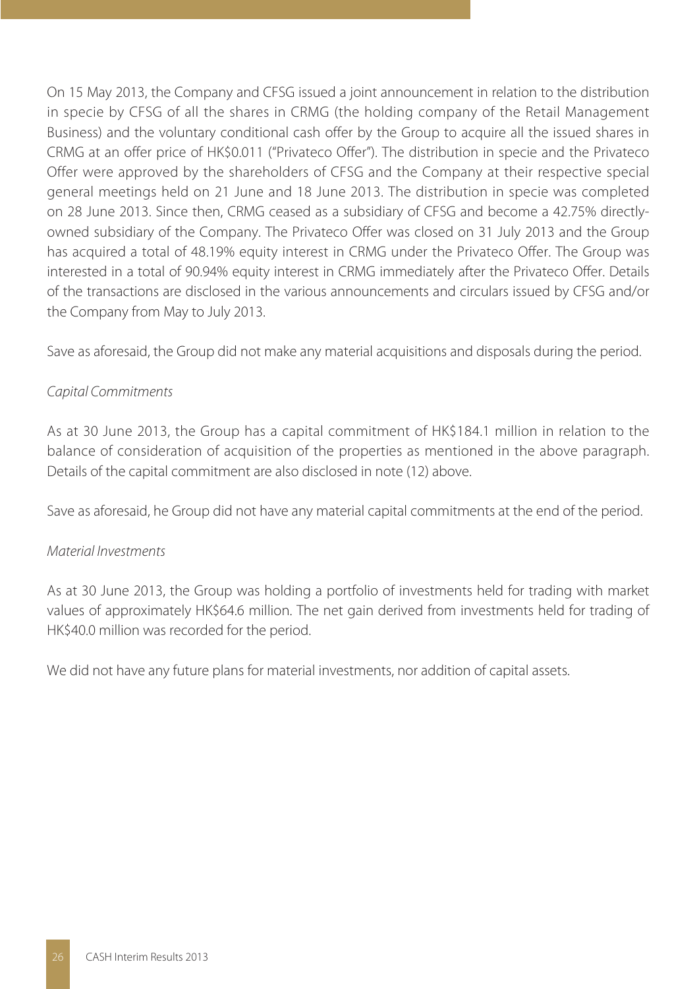On 15 May 2013, the Company and CFSG issued a joint announcement in relation to the distribution in specie by CFSG of all the shares in CRMG (the holding company of the Retail Management Business) and the voluntary conditional cash offer by the Group to acquire all the issued shares in CRMG at an offer price of HK\$0.011 ("Privateco Offer"). The distribution in specie and the Privateco Offer were approved by the shareholders of CFSG and the Company at their respective special general meetings held on 21 June and 18 June 2013. The distribution in specie was completed on 28 June 2013. Since then, CRMG ceased as a subsidiary of CFSG and become a 42.75% directlyowned subsidiary of the Company. The Privateco Offer was closed on 31 July 2013 and the Group has acquired a total of 48.19% equity interest in CRMG under the Privateco Offer. The Group was interested in a total of 90.94% equity interest in CRMG immediately after the Privateco Offer. Details of the transactions are disclosed in the various announcements and circulars issued by CFSG and/or the Company from May to July 2013.

Save as aforesaid, the Group did not make any material acquisitions and disposals during the period.

### Capital Commitments

As at 30 June 2013, the Group has a capital commitment of HK\$184.1 million in relation to the balance of consideration of acquisition of the properties as mentioned in the above paragraph. Details of the capital commitment are also disclosed in note (12) above.

Save as aforesaid, he Group did not have any material capital commitments at the end of the period.

### Material Investments

As at 30 June 2013, the Group was holding a portfolio of investments held for trading with market values of approximately HK\$64.6 million. The net gain derived from investments held for trading of HK\$40.0 million was recorded for the period.

We did not have any future plans for material investments, nor addition of capital assets.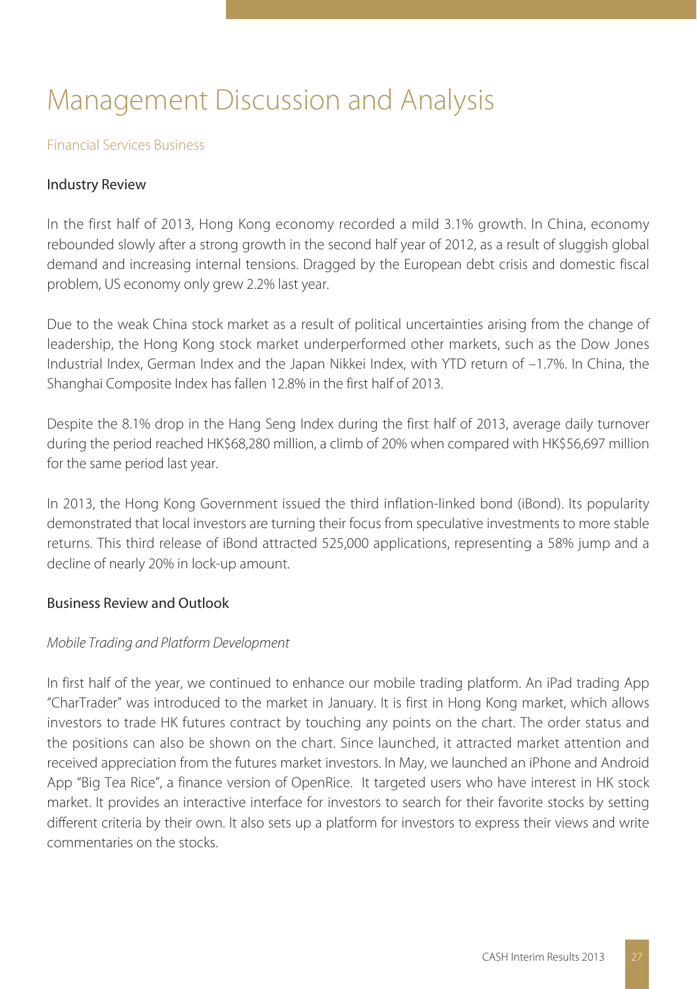## Management Discussion and Analysis

#### Financial Services Business

## Industry Review

In the first half of 2013, Hong Kong economy recorded a mild 3.1% growth. In China, economy rebounded slowly after a strong growth in the second half year of 2012, as a result of sluggish global demand and increasing internal tensions. Dragged by the European debt crisis and domestic fiscal problem, US economy only grew 2.2% last year.

Due to the weak China stock market as a result of political uncertainties arising from the change of leadership, the Hong Kong stock market underperformed other markets, such as the Dow Jones Industrial Index, German Index and the Japan Nikkei Index, with YTD return of –1.7%. In China, the Shanghai Composite Index has fallen 12.8% in the first half of 2013.

Despite the 8.1% drop in the Hang Seng Index during the first half of 2013, average daily turnover during the period reached HK\$68,280 million, a climb of 20% when compared with HK\$56,697 million for the same period last year.

In 2013, the Hong Kong Government issued the third inflation-linked bond (iBond). Its popularity demonstrated that local investors are turning their focus from speculative investments to more stable returns. This third release of iBond attracted 525,000 applications, representing a 58% jump and a decline of nearly 20% in lock-up amount.

#### Business Review and Outlook

### Mobile Trading and Platform Development

In first half of the year, we continued to enhance our mobile trading platform. An iPad trading App "CharTrader" was introduced to the market in January. It is first in Hong Kong market, which allows investors to trade HK futures contract by touching any points on the chart. The order status and the positions can also be shown on the chart. Since launched, it attracted market attention and received appreciation from the futures market investors. In May, we launched an iPhone and Android App "Big Tea Rice", a finance version of OpenRice. It targeted users who have interest in HK stock market. It provides an interactive interface for investors to search for their favorite stocks by setting different criteria by their own. It also sets up a platform for investors to express their views and write commentaries on the stocks.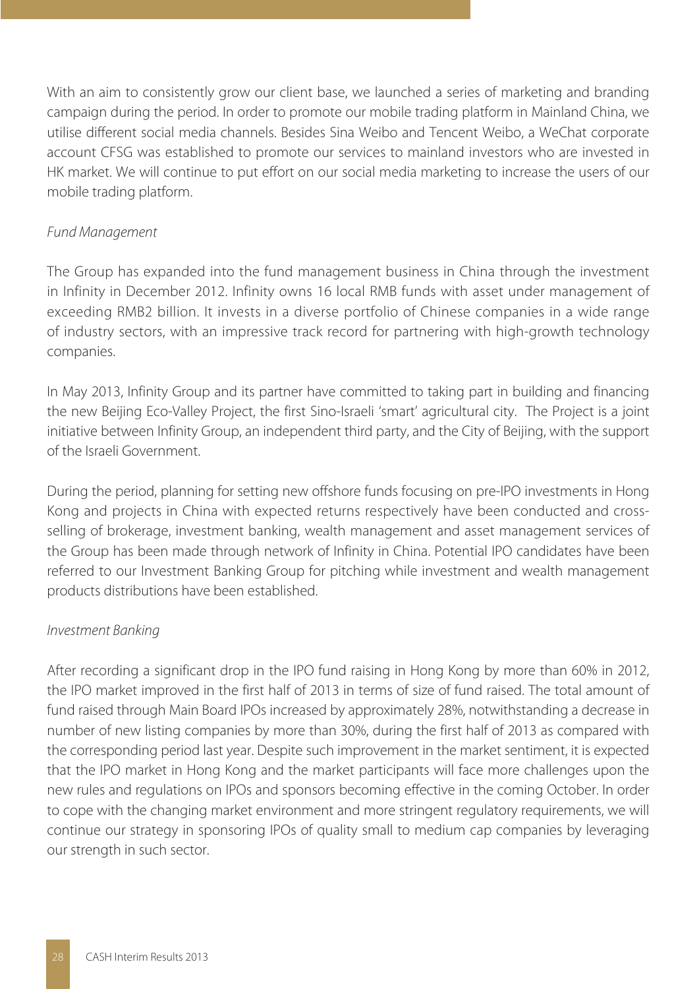With an aim to consistently grow our client base, we launched a series of marketing and branding campaign during the period. In order to promote our mobile trading platform in Mainland China, we utilise different social media channels. Besides Sina Weibo and Tencent Weibo, a WeChat corporate account CFSG was established to promote our services to mainland investors who are invested in HK market. We will continue to put effort on our social media marketing to increase the users of our mobile trading platform.

### Fund Management

The Group has expanded into the fund management business in China through the investment in Infinity in December 2012. Infinity owns 16 local RMB funds with asset under management of exceeding RMB2 billion. It invests in a diverse portfolio of Chinese companies in a wide range of industry sectors, with an impressive track record for partnering with high-growth technology companies.

In May 2013, Infinity Group and its partner have committed to taking part in building and financing the new Beijing Eco-Valley Project, the first Sino-Israeli 'smart' agricultural city. The Project is a joint initiative between Infinity Group, an independent third party, and the City of Beijing, with the support of the Israeli Government.

During the period, planning for setting new offshore funds focusing on pre-IPO investments in Hong Kong and projects in China with expected returns respectively have been conducted and crossselling of brokerage, investment banking, wealth management and asset management services of the Group has been made through network of Infinity in China. Potential IPO candidates have been referred to our Investment Banking Group for pitching while investment and wealth management products distributions have been established.

### Investment Banking

After recording a significant drop in the IPO fund raising in Hong Kong by more than 60% in 2012, the IPO market improved in the first half of 2013 in terms of size of fund raised. The total amount of fund raised through Main Board IPOs increased by approximately 28%, notwithstanding a decrease in number of new listing companies by more than 30%, during the first half of 2013 as compared with the corresponding period last year. Despite such improvement in the market sentiment, it is expected that the IPO market in Hong Kong and the market participants will face more challenges upon the new rules and regulations on IPOs and sponsors becoming effective in the coming October. In order to cope with the changing market environment and more stringent regulatory requirements, we will continue our strategy in sponsoring IPOs of quality small to medium cap companies by leveraging our strength in such sector.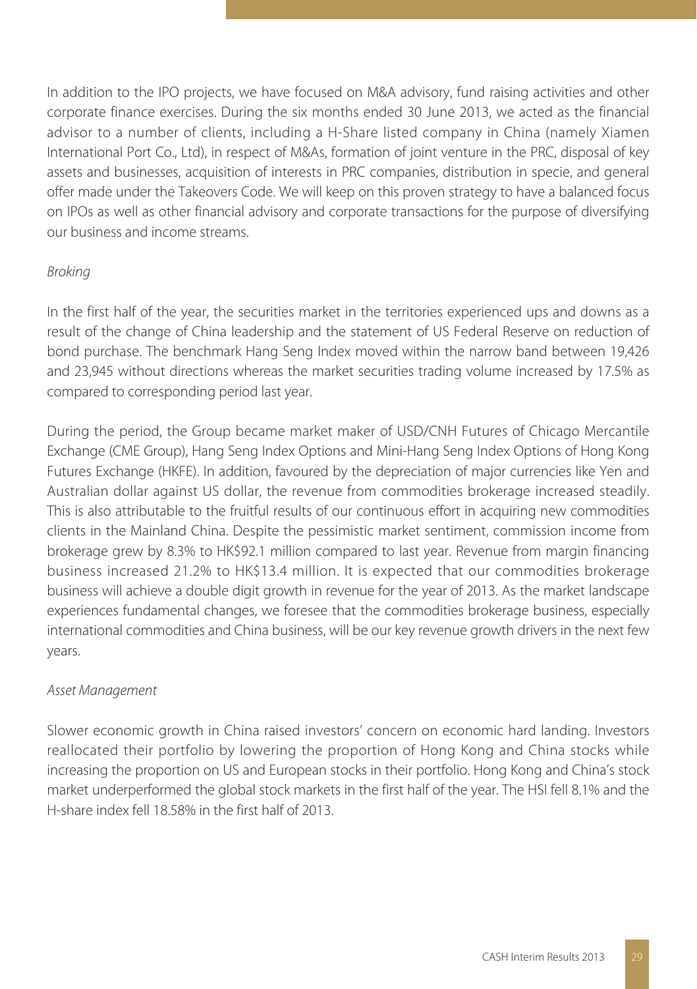In addition to the IPO projects, we have focused on M&A advisory, fund raising activities and other corporate finance exercises. During the six months ended 30 June 2013, we acted as the financial advisor to a number of clients, including a H-Share listed company in China (namely Xiamen International Port Co., Ltd), in respect of M&As, formation of joint venture in the PRC, disposal of key assets and businesses, acquisition of interests in PRC companies, distribution in specie, and general offer made under the Takeovers Code. We will keep on this proven strategy to have a balanced focus on IPOs as well as other financial advisory and corporate transactions for the purpose of diversifying our business and income streams.

### Broking

In the first half of the year, the securities market in the territories experienced ups and downs as a result of the change of China leadership and the statement of US Federal Reserve on reduction of bond purchase. The benchmark Hang Seng Index moved within the narrow band between 19,426 and 23,945 without directions whereas the market securities trading volume increased by 17.5% as compared to corresponding period last year.

During the period, the Group became market maker of USD/CNH Futures of Chicago Mercantile Exchange (CME Group), Hang Seng Index Options and Mini-Hang Seng Index Options of Hong Kong Futures Exchange (HKFE). In addition, favoured by the depreciation of major currencies like Yen and Australian dollar against US dollar, the revenue from commodities brokerage increased steadily. This is also attributable to the fruitful results of our continuous effort in acquiring new commodities clients in the Mainland China. Despite the pessimistic market sentiment, commission income from brokerage grew by 8.3% to HK\$92.1 million compared to last year. Revenue from margin financing business increased 21.2% to HK\$13.4 million. It is expected that our commodities brokerage business will achieve a double digit growth in revenue for the year of 2013. As the market landscape experiences fundamental changes, we foresee that the commodities brokerage business, especially international commodities and China business, will be our key revenue growth drivers in the next few years.

### Asset Management

Slower economic growth in China raised investors' concern on economic hard landing. Investors reallocated their portfolio by lowering the proportion of Hong Kong and China stocks while increasing the proportion on US and European stocks in their portfolio. Hong Kong and China's stock market underperformed the global stock markets in the first half of the year. The HSI fell 8.1% and the H-share index fell 18.58% in the first half of 2013.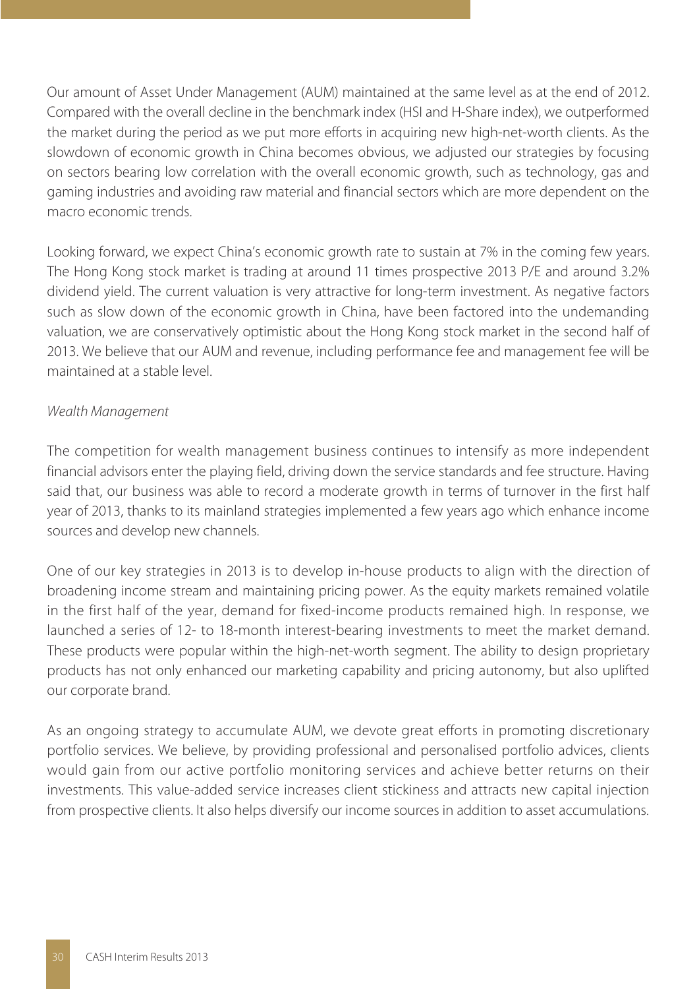Our amount of Asset Under Management (AUM) maintained at the same level as at the end of 2012. Compared with the overall decline in the benchmark index (HSI and H-Share index), we outperformed the market during the period as we put more efforts in acquiring new high-net-worth clients. As the slowdown of economic growth in China becomes obvious, we adjusted our strategies by focusing on sectors bearing low correlation with the overall economic growth, such as technology, gas and gaming industries and avoiding raw material and financial sectors which are more dependent on the macro economic trends.

Looking forward, we expect China's economic growth rate to sustain at 7% in the coming few years. The Hong Kong stock market is trading at around 11 times prospective 2013 P/E and around 3.2% dividend yield. The current valuation is very attractive for long-term investment. As negative factors such as slow down of the economic growth in China, have been factored into the undemanding valuation, we are conservatively optimistic about the Hong Kong stock market in the second half of 2013. We believe that our AUM and revenue, including performance fee and management fee will be maintained at a stable level.

### Wealth Management

The competition for wealth management business continues to intensify as more independent financial advisors enter the playing field, driving down the service standards and fee structure. Having said that, our business was able to record a moderate growth in terms of turnover in the first half year of 2013, thanks to its mainland strategies implemented a few years ago which enhance income sources and develop new channels.

One of our key strategies in 2013 is to develop in-house products to align with the direction of broadening income stream and maintaining pricing power. As the equity markets remained volatile in the first half of the year, demand for fixed-income products remained high. In response, we launched a series of 12- to 18-month interest-bearing investments to meet the market demand. These products were popular within the high-net-worth segment. The ability to design proprietary products has not only enhanced our marketing capability and pricing autonomy, but also uplifted our corporate brand.

As an ongoing strategy to accumulate AUM, we devote great efforts in promoting discretionary portfolio services. We believe, by providing professional and personalised portfolio advices, clients would gain from our active portfolio monitoring services and achieve better returns on their investments. This value-added service increases client stickiness and attracts new capital injection from prospective clients. It also helps diversify our income sources in addition to asset accumulations.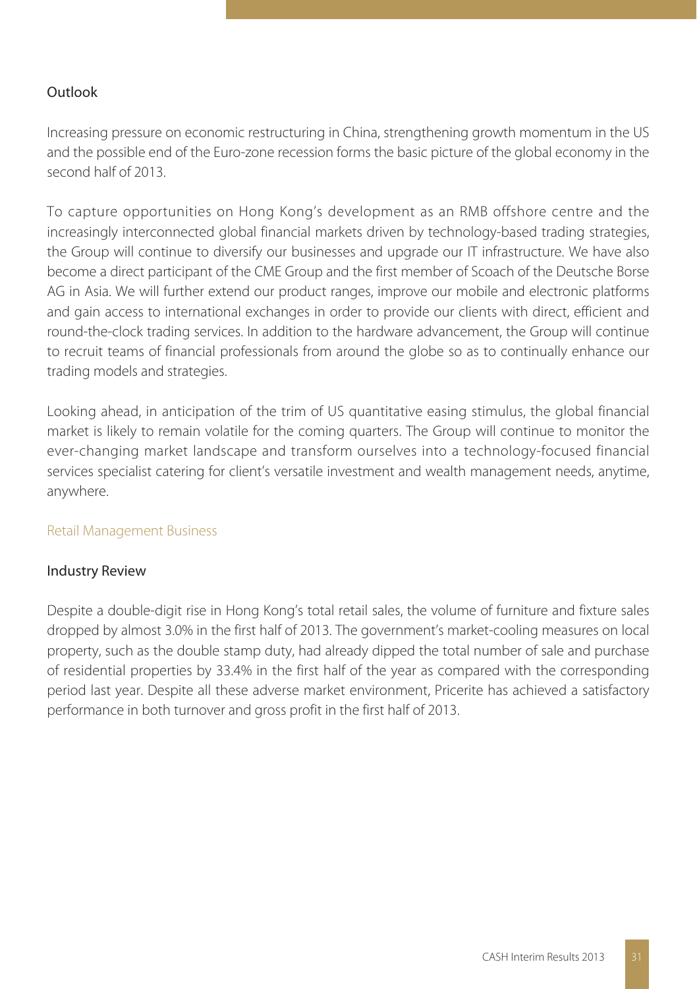## Outlook

Increasing pressure on economic restructuring in China, strengthening growth momentum in the US and the possible end of the Euro-zone recession forms the basic picture of the global economy in the second half of 2013.

To capture opportunities on Hong Kong's development as an RMB offshore centre and the increasingly interconnected global financial markets driven by technology-based trading strategies, the Group will continue to diversify our businesses and upgrade our IT infrastructure. We have also become a direct participant of the CME Group and the first member of Scoach of the Deutsche Borse AG in Asia. We will further extend our product ranges, improve our mobile and electronic platforms and gain access to international exchanges in order to provide our clients with direct, efficient and round-the-clock trading services. In addition to the hardware advancement, the Group will continue to recruit teams of financial professionals from around the globe so as to continually enhance our trading models and strategies.

Looking ahead, in anticipation of the trim of US quantitative easing stimulus, the global financial market is likely to remain volatile for the coming quarters. The Group will continue to monitor the ever-changing market landscape and transform ourselves into a technology-focused financial services specialist catering for client's versatile investment and wealth management needs, anytime, anywhere.

### Retail Management Business

### Industry Review

Despite a double-digit rise in Hong Kong's total retail sales, the volume of furniture and fixture sales dropped by almost 3.0% in the first half of 2013. The government's market-cooling measures on local property, such as the double stamp duty, had already dipped the total number of sale and purchase of residential properties by 33.4% in the first half of the year as compared with the corresponding period last year. Despite all these adverse market environment, Pricerite has achieved a satisfactory performance in both turnover and gross profit in the first half of 2013.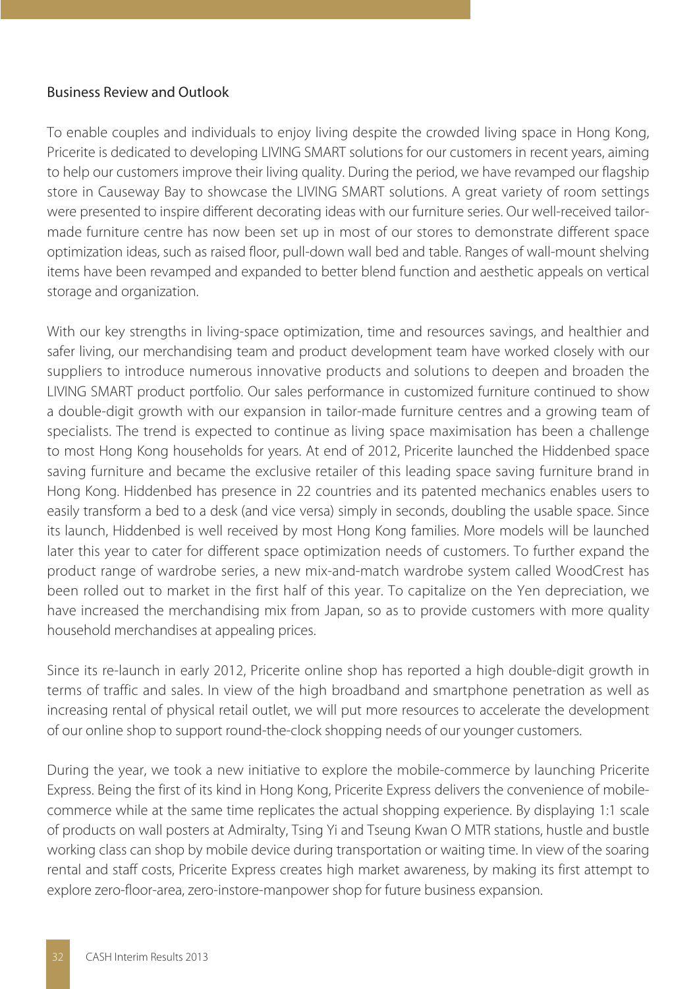## Business Review and Outlook

To enable couples and individuals to enjoy living despite the crowded living space in Hong Kong, Pricerite is dedicated to developing LIVING SMART solutions for our customers in recent years, aiming to help our customers improve their living quality. During the period, we have revamped our flagship store in Causeway Bay to showcase the LIVING SMART solutions. A great variety of room settings were presented to inspire different decorating ideas with our furniture series. Our well-received tailormade furniture centre has now been set up in most of our stores to demonstrate different space optimization ideas, such as raised floor, pull-down wall bed and table. Ranges of wall-mount shelving items have been revamped and expanded to better blend function and aesthetic appeals on vertical storage and organization.

With our key strengths in living-space optimization, time and resources savings, and healthier and safer living, our merchandising team and product development team have worked closely with our suppliers to introduce numerous innovative products and solutions to deepen and broaden the LIVING SMART product portfolio. Our sales performance in customized furniture continued to show a double-digit growth with our expansion in tailor-made furniture centres and a growing team of specialists. The trend is expected to continue as living space maximisation has been a challenge to most Hong Kong households for years. At end of 2012, Pricerite launched the Hiddenbed space saving furniture and became the exclusive retailer of this leading space saving furniture brand in Hong Kong. Hiddenbed has presence in 22 countries and its patented mechanics enables users to easily transform a bed to a desk (and vice versa) simply in seconds, doubling the usable space. Since its launch, Hiddenbed is well received by most Hong Kong families. More models will be launched later this year to cater for different space optimization needs of customers. To further expand the product range of wardrobe series, a new mix-and-match wardrobe system called WoodCrest has been rolled out to market in the first half of this year. To capitalize on the Yen depreciation, we have increased the merchandising mix from Japan, so as to provide customers with more quality household merchandises at appealing prices.

Since its re-launch in early 2012. Pricerite online shop has reported a high double-digit growth in terms of traffic and sales. In view of the high broadband and smartphone penetration as well as increasing rental of physical retail outlet, we will put more resources to accelerate the development of our online shop to support round-the-clock shopping needs of our younger customers.

During the year, we took a new initiative to explore the mobile-commerce by launching Pricerite Express. Being the first of its kind in Hong Kong, Pricerite Express delivers the convenience of mobilecommerce while at the same time replicates the actual shopping experience. By displaying 1:1 scale of products on wall posters at Admiralty, Tsing Yi and Tseung Kwan O MTR stations, hustle and bustle working class can shop by mobile device during transportation or waiting time. In view of the soaring rental and staff costs, Pricerite Express creates high market awareness, by making its first attempt to explore zero-floor-area, zero-instore-manpower shop for future business expansion.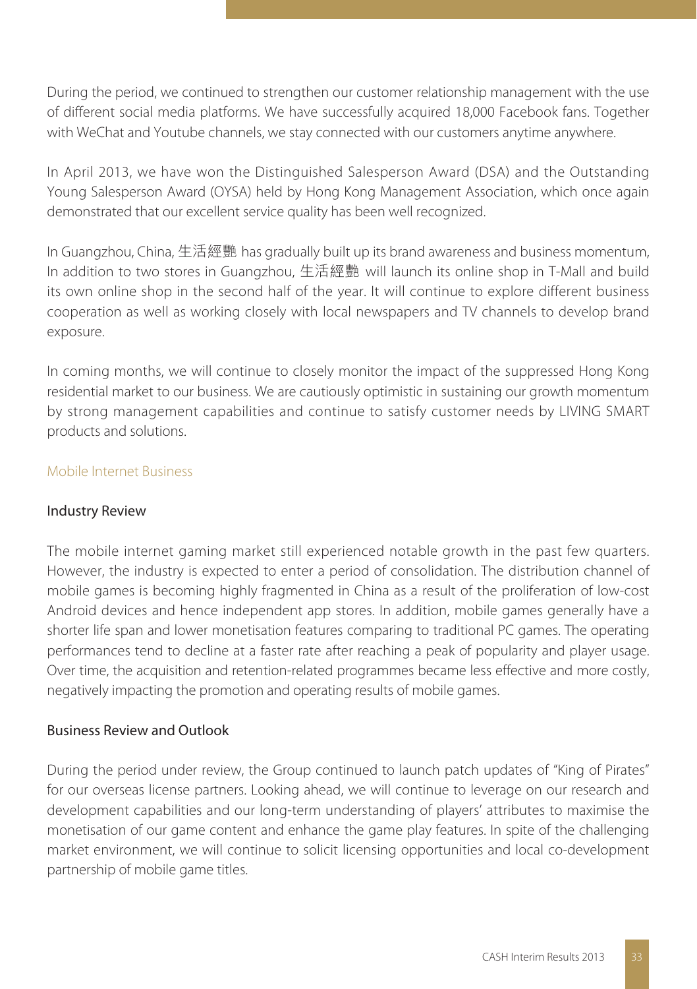During the period, we continued to strengthen our customer relationship management with the use of different social media platforms. We have successfully acquired 18,000 Facebook fans. Together with WeChat and Youtube channels, we stay connected with our customers anytime anywhere.

In April 2013, we have won the Distinguished Salesperson Award (DSA) and the Outstanding Young Salesperson Award (OYSA) held by Hong Kong Management Association, which once again demonstrated that our excellent service quality has been well recognized.

In Guangzhou, China, 生活經艷 has gradually built up its brand awareness and business momentum, In addition to two stores in Guangzhou, 生活經艷 will launch its online shop in T-Mall and build its own online shop in the second half of the year. It will continue to explore different business cooperation as well as working closely with local newspapers and TV channels to develop brand exposure.

In coming months, we will continue to closely monitor the impact of the suppressed Hong Kong residential market to our business. We are cautiously optimistic in sustaining our growth momentum by strong management capabilities and continue to satisfy customer needs by LIVING SMART products and solutions.

### Mobile Internet Business

### Industry Review

The mobile internet gaming market still experienced notable growth in the past few quarters. However, the industry is expected to enter a period of consolidation. The distribution channel of mobile games is becoming highly fragmented in China as a result of the proliferation of low-cost Android devices and hence independent app stores. In addition, mobile games generally have a shorter life span and lower monetisation features comparing to traditional PC games. The operating performances tend to decline at a faster rate after reaching a peak of popularity and player usage. Over time, the acquisition and retention-related programmes became less effective and more costly, negatively impacting the promotion and operating results of mobile games.

## Business Review and Outlook

During the period under review, the Group continued to launch patch updates of "King of Pirates" for our overseas license partners. Looking ahead, we will continue to leverage on our research and development capabilities and our long-term understanding of players' attributes to maximise the monetisation of our game content and enhance the game play features. In spite of the challenging market environment, we will continue to solicit licensing opportunities and local co-development partnership of mobile game titles.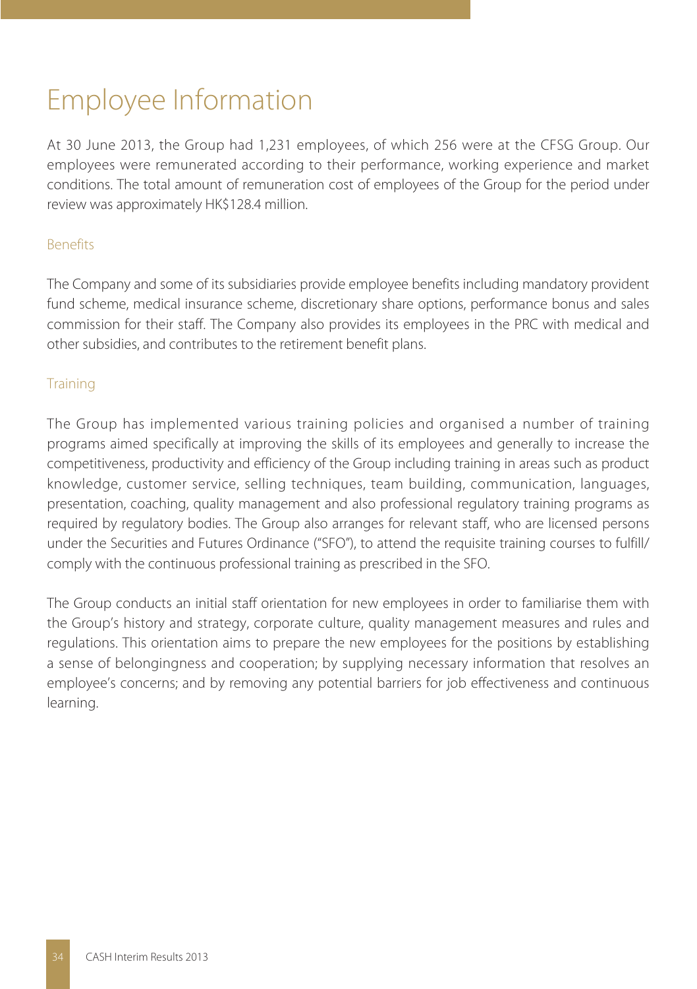# Employee Information

At 30 June 2013, the Group had 1,231 employees, of which 256 were at the CFSG Group. Our employees were remunerated according to their performance, working experience and market conditions. The total amount of remuneration cost of employees of the Group for the period under review was approximately HK\$128.4 million.

## Benefits

The Company and some of its subsidiaries provide employee benefits including mandatory provident fund scheme, medical insurance scheme, discretionary share options, performance bonus and sales commission for their staff. The Company also provides its employees in the PRC with medical and other subsidies, and contributes to the retirement benefit plans.

## **Training**

The Group has implemented various training policies and organised a number of training programs aimed specifically at improving the skills of its employees and generally to increase the competitiveness, productivity and efficiency of the Group including training in areas such as product knowledge, customer service, selling techniques, team building, communication, languages, presentation, coaching, quality management and also professional regulatory training programs as required by regulatory bodies. The Group also arranges for relevant staff, who are licensed persons under the Securities and Futures Ordinance ("SFO"), to attend the requisite training courses to fulfill/ comply with the continuous professional training as prescribed in the SFO.

The Group conducts an initial staff orientation for new employees in order to familiarise them with the Group's history and strategy, corporate culture, quality management measures and rules and regulations. This orientation aims to prepare the new employees for the positions by establishing a sense of belongingness and cooperation; by supplying necessary information that resolves an employee's concerns; and by removing any potential barriers for job effectiveness and continuous learning.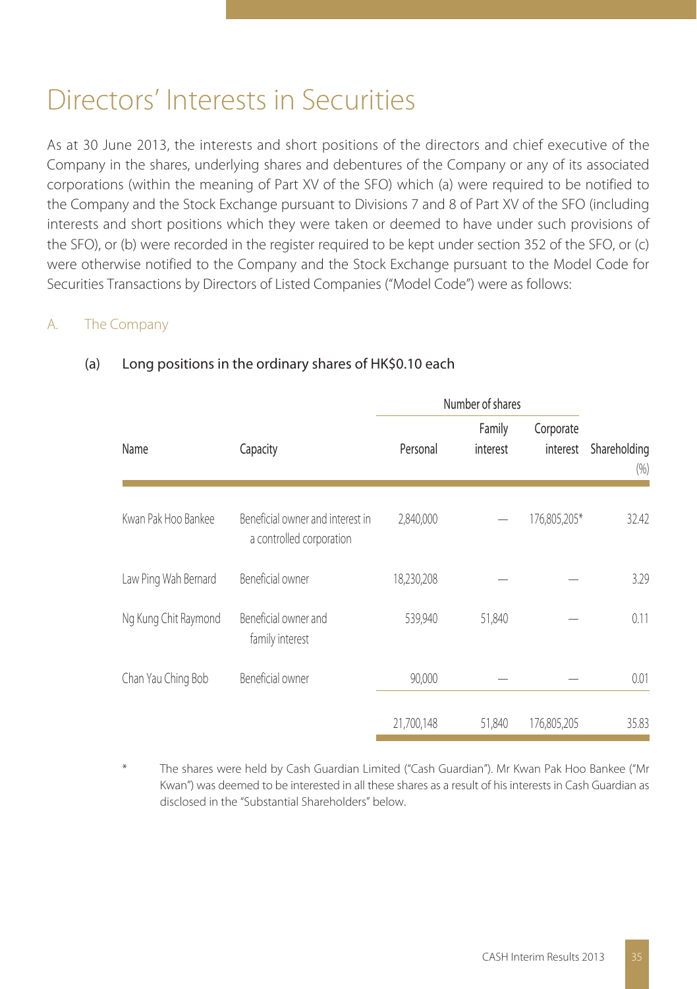## Directors' Interests in Securities

As at 30 June 2013, the interests and short positions of the directors and chief executive of the Company in the shares, underlying shares and debentures of the Company or any of its associated corporations (within the meaning of Part XV of the SFO) which (a) were required to be notified to the Company and the Stock Exchange pursuant to Divisions 7 and 8 of Part XV of the SFO (including interests and short positions which they were taken or deemed to have under such provisions of the SFO), or (b) were recorded in the register required to be kept under section 352 of the SFO, or (c) were otherwise notified to the Company and the Stock Exchange pursuant to the Model Code for Securities Transactions by Directors of Listed Companies ("Model Code") were as follows:

## A. The Company

|                      |                                                              |            | Number of shares   |                       |                     |
|----------------------|--------------------------------------------------------------|------------|--------------------|-----------------------|---------------------|
| Name                 | Capacity                                                     | Personal   | Family<br>interest | Corporate<br>interest | Shareholding<br>(%) |
| Kwan Pak Hoo Bankee  | Beneficial owner and interest in<br>a controlled corporation | 2,840,000  |                    | 176,805,205*          | 32.42               |
| Law Ping Wah Bernard | Beneficial owner                                             | 18,230,208 |                    |                       | 3.29                |
| Ng Kung Chit Raymond | Beneficial owner and<br>family interest                      | 539,940    | 51,840             |                       | 0.11                |
| Chan Yau Ching Bob   | Beneficial owner                                             | 90,000     |                    |                       | 0.01                |
|                      |                                                              | 21,700,148 | 51,840             | 176,805,205           | 35.83               |

## (a) Long positions in the ordinary shares of HK\$0.10 each

The shares were held by Cash Guardian Limited ("Cash Guardian"). Mr Kwan Pak Hoo Bankee ("Mr Kwan") was deemed to be interested in all these shares as a result of his interests in Cash Guardian as disclosed in the "Substantial Shareholders" below.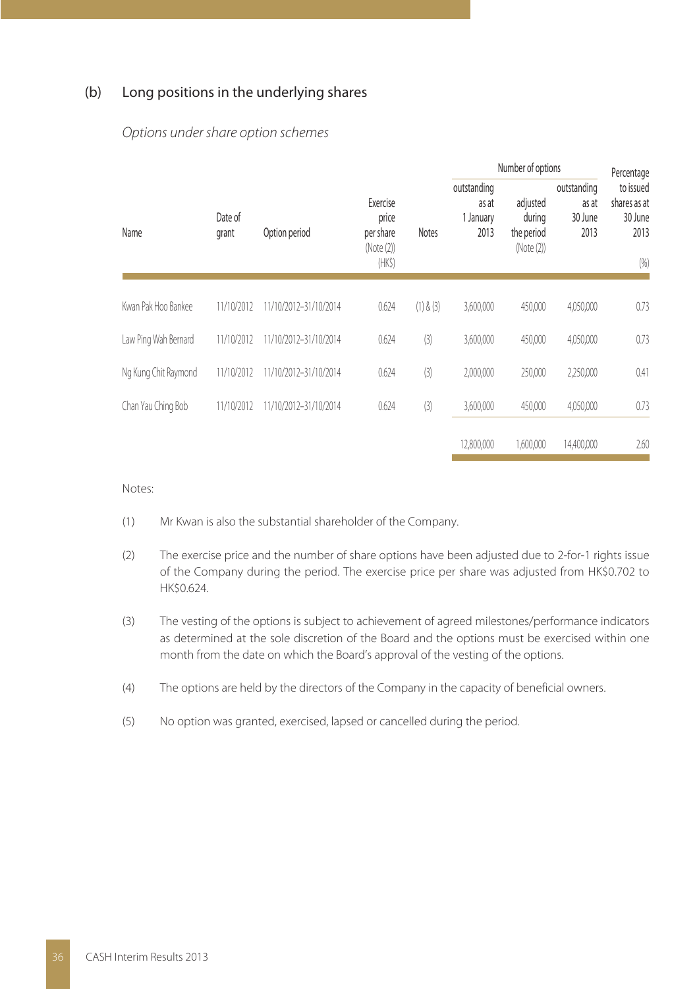### (b) Long positions in the underlying shares

|                      |                  |                       |                                                             |              | Number of options                         | Percentage                                     |                                         |                                                      |
|----------------------|------------------|-----------------------|-------------------------------------------------------------|--------------|-------------------------------------------|------------------------------------------------|-----------------------------------------|------------------------------------------------------|
| Name                 | Date of<br>grant | Option period         | Exercise<br>price<br>per share<br>(Note (2))<br>$(HK\zeta)$ | <b>Notes</b> | outstanding<br>as at<br>1 January<br>2013 | adjusted<br>during<br>the period<br>(Note (2)) | outstanding<br>as at<br>30 June<br>2013 | to issued<br>shares as at<br>30 June<br>2013<br>(96) |
| Kwan Pak Hoo Bankee  | 11/10/2012       | 11/10/2012-31/10/2014 | 0.624                                                       | (1) & (3)    | 3,600,000                                 | 450.000                                        | 4,050,000                               | 0.73                                                 |
| Law Ping Wah Bernard | 11/10/2012       | 11/10/2012-31/10/2014 | 0.624                                                       | (3)          | 3,600,000                                 | 450,000                                        | 4,050,000                               | 0.73                                                 |
| Ng Kung Chit Raymond | 11/10/2012       | 11/10/2012-31/10/2014 | 0.624                                                       | (3)          | 2,000,000                                 | 250,000                                        | 2,250,000                               | 0.41                                                 |
| Chan Yau Ching Bob   | 11/10/2012       | 11/10/2012-31/10/2014 | 0.624                                                       | (3)          | 3,600,000                                 | 450.000                                        | 4,050,000                               | 0.73                                                 |
|                      |                  |                       |                                                             |              | 12.800.000                                | 1.600.000                                      | 14.400.000                              | 2.60                                                 |

#### Options under share option schemes

#### Notes:

- (1) Mr Kwan is also the substantial shareholder of the Company.
- (2) The exercise price and the number of share options have been adjusted due to 2-for-1 rights issue of the Company during the period. The exercise price per share was adjusted from HK\$0.702 to HK\$0.624.
- (3) The vesting of the options is subject to achievement of agreed milestones/performance indicators as determined at the sole discretion of the Board and the options must be exercised within one month from the date on which the Board's approval of the vesting of the options.
- (4) The options are held by the directors of the Company in the capacity of beneficial owners.
- (5) No option was granted, exercised, lapsed or cancelled during the period.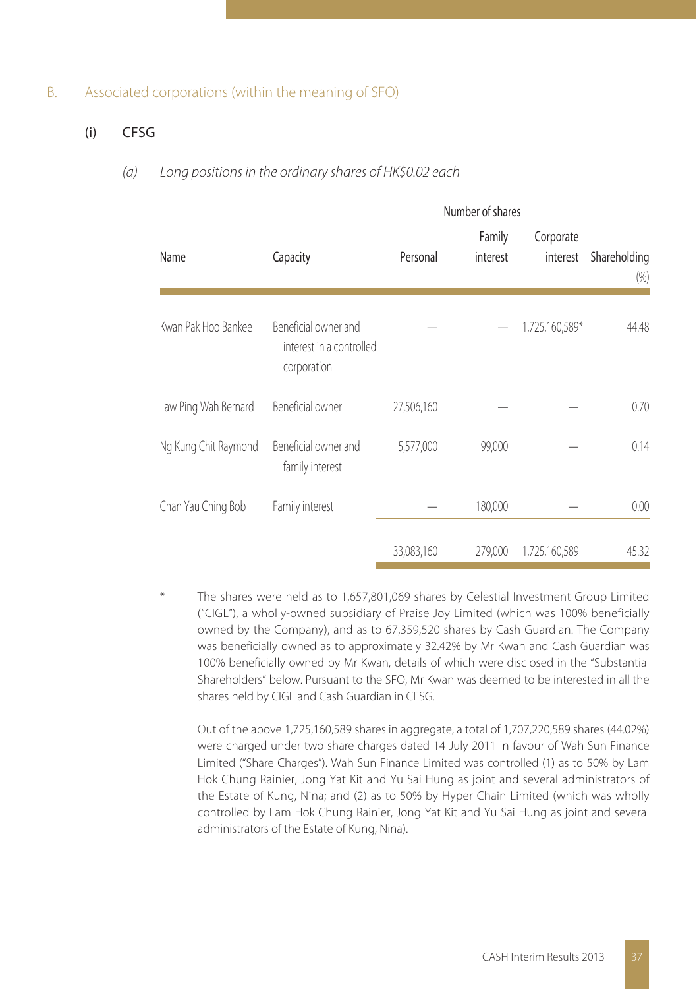#### B. Associated corporations (within the meaning of SFO)

#### (i) CFSG

#### (a) Long positions in the ordinary shares of HK\$0.02 each

|                      |                                                                 | Number of shares |                    |                       |                     |
|----------------------|-----------------------------------------------------------------|------------------|--------------------|-----------------------|---------------------|
| Name                 | Capacity                                                        | Personal         | Family<br>interest | Corporate<br>interest | Shareholding<br>(%) |
| Kwan Pak Hoo Bankee  | Beneficial owner and<br>interest in a controlled<br>corporation |                  |                    | 1,725,160,589*        | 44.48               |
| Law Ping Wah Bernard | Beneficial owner                                                | 27,506,160       |                    |                       | 0.70                |
| Ng Kung Chit Raymond | Beneficial owner and<br>family interest                         | 5,577,000        | 99,000             |                       | 0.14                |
| Chan Yau Ching Bob   | Family interest                                                 |                  | 180,000            |                       | 0.00                |
|                      |                                                                 | 33,083,160       | 279,000            | 1,725,160,589         | 45.32               |

The shares were held as to 1,657,801,069 shares by Celestial Investment Group Limited ("CIGL"), a wholly-owned subsidiary of Praise Joy Limited (which was 100% beneficially owned by the Company), and as to 67,359,520 shares by Cash Guardian. The Company was beneficially owned as to approximately 32.42% by Mr Kwan and Cash Guardian was 100% beneficially owned by Mr Kwan, details of which were disclosed in the "Substantial Shareholders" below. Pursuant to the SFO, Mr Kwan was deemed to be interested in all the shares held by CIGL and Cash Guardian in CFSG.

Out of the above 1,725,160,589 shares in aggregate, a total of 1,707,220,589 shares (44.02%) were charged under two share charges dated 14 July 2011 in favour of Wah Sun Finance Limited ("Share Charges"). Wah Sun Finance Limited was controlled (1) as to 50% by Lam Hok Chung Rainier, Jong Yat Kit and Yu Sai Hung as joint and several administrators of the Estate of Kung, Nina; and (2) as to 50% by Hyper Chain Limited (which was wholly controlled by Lam Hok Chung Rainier, Jong Yat Kit and Yu Sai Hung as joint and several administrators of the Estate of Kung, Nina).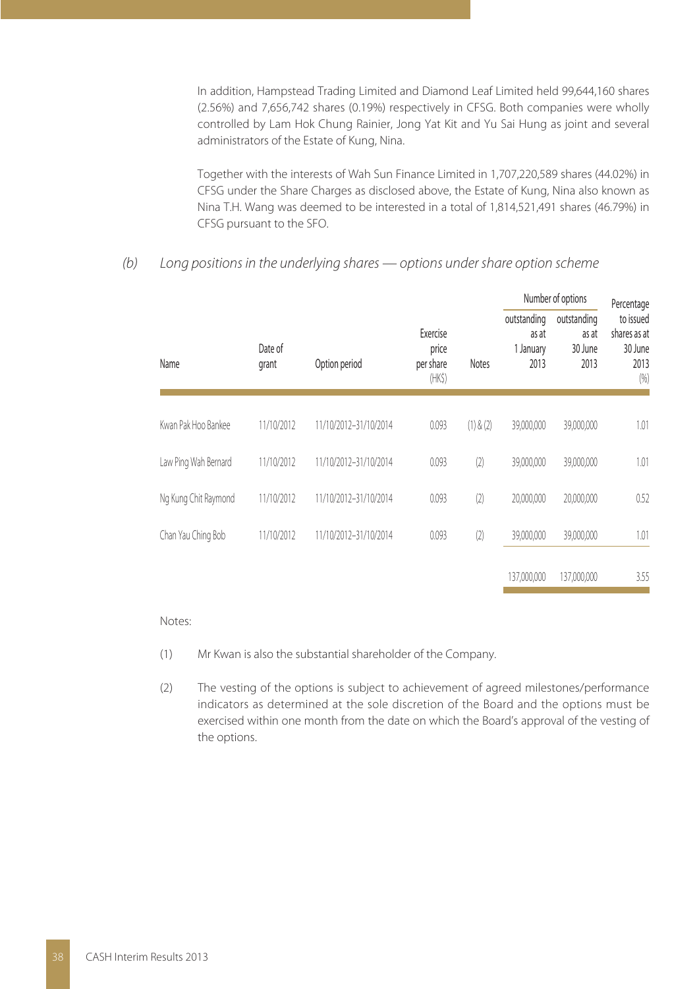In addition, Hampstead Trading Limited and Diamond Leaf Limited held 99,644,160 shares (2.56%) and 7,656,742 shares (0.19%) respectively in CFSG. Both companies were wholly controlled by Lam Hok Chung Rainier, Jong Yat Kit and Yu Sai Hung as joint and several administrators of the Estate of Kung, Nina.

Together with the interests of Wah Sun Finance Limited in 1,707,220,589 shares (44.02%) in CFSG under the Share Charges as disclosed above, the Estate of Kung, Nina also known as Nina T.H. Wang was deemed to be interested in a total of 1,814,521,491 shares (46.79%) in CFSG pursuant to the SFO.

### (b) Long positions in the underlying shares — options under share option scheme

|                      |                  |                       |                                               |              | Number of options                         |                                         | Percentage                                           |  |
|----------------------|------------------|-----------------------|-----------------------------------------------|--------------|-------------------------------------------|-----------------------------------------|------------------------------------------------------|--|
| Name                 | Date of<br>grant | Option period         | Exercise<br>price<br>per share<br>$(HK\zeta)$ | <b>Notes</b> | outstanding<br>as at<br>1 January<br>2013 | outstanding<br>as at<br>30 June<br>2013 | to issued<br>shares as at<br>30 June<br>2013<br>(96) |  |
| Kwan Pak Hoo Bankee  | 11/10/2012       | 11/10/2012-31/10/2014 | 0.093                                         | (1) & (2)    | 39,000,000                                | 39,000,000                              | 1.01                                                 |  |
| Law Ping Wah Bernard | 11/10/2012       | 11/10/2012-31/10/2014 | 0.093                                         | (2)          | 39,000,000                                | 39,000,000                              | 1.01                                                 |  |
| Ng Kung Chit Raymond | 11/10/2012       | 11/10/2012-31/10/2014 | 0.093                                         | (2)          | 20,000,000                                | 20,000,000                              | 0.52                                                 |  |
| Chan Yau Ching Bob   | 11/10/2012       | 11/10/2012-31/10/2014 | 0.093                                         | (2)          | 39,000,000                                | 39,000,000                              | 1.01                                                 |  |
|                      |                  |                       |                                               |              | 137,000,000                               | 137,000,000                             | 3.55                                                 |  |
|                      |                  |                       |                                               |              |                                           |                                         |                                                      |  |

#### Notes:

- (1) Mr Kwan is also the substantial shareholder of the Company.
- (2) The vesting of the options is subject to achievement of agreed milestones/performance indicators as determined at the sole discretion of the Board and the options must be exercised within one month from the date on which the Board's approval of the vesting of the options.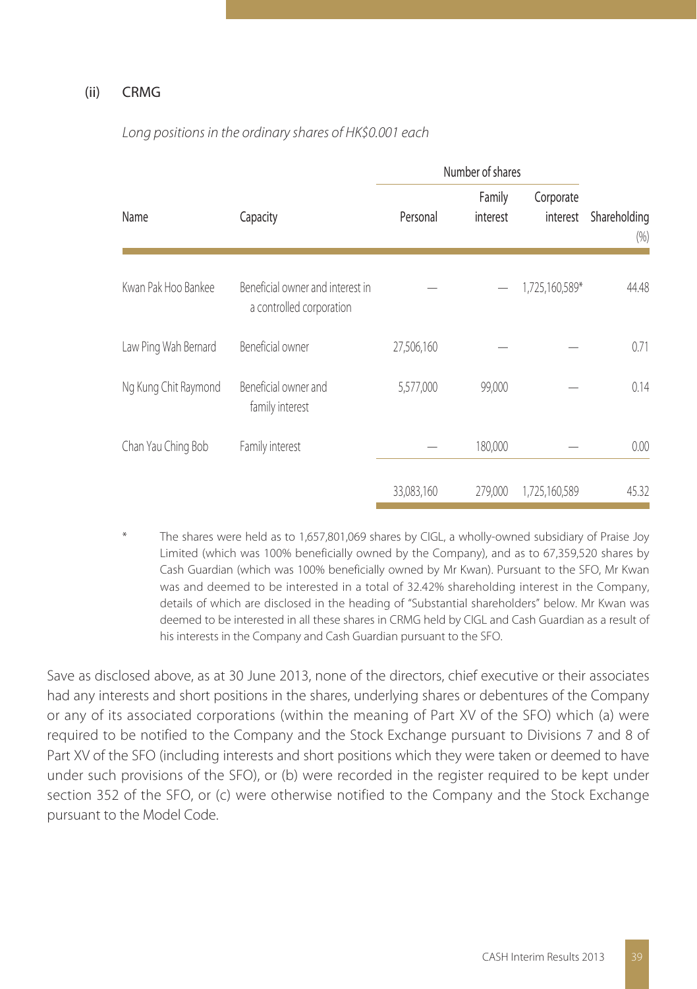### (ii) CRMG

|                      |                                                              | Number of shares |                    |                       |                     |
|----------------------|--------------------------------------------------------------|------------------|--------------------|-----------------------|---------------------|
| Name                 | Capacity                                                     | Personal         | Family<br>interest | Corporate<br>interest | Shareholding<br>(%) |
| Kwan Pak Hoo Bankee  | Beneficial owner and interest in<br>a controlled corporation |                  |                    | 1,725,160,589*        | 44.48               |
| Law Ping Wah Bernard | Beneficial owner                                             | 27,506,160       |                    |                       | 0.71                |
| Ng Kung Chit Raymond | Beneficial owner and<br>family interest                      | 5,577,000        | 99,000             |                       | 0.14                |
| Chan Yau Ching Bob   | Family interest                                              |                  | 180,000            |                       | 0.00                |
|                      |                                                              | 33,083,160       | 279,000            | 1,725,160,589         | 45.32               |

Long positions in the ordinary shares of HK\$0.001 each

The shares were held as to 1,657,801,069 shares by CIGL, a wholly-owned subsidiary of Praise Joy Limited (which was 100% beneficially owned by the Company), and as to 67,359,520 shares by Cash Guardian (which was 100% beneficially owned by Mr Kwan). Pursuant to the SFO, Mr Kwan was and deemed to be interested in a total of 32.42% shareholding interest in the Company, details of which are disclosed in the heading of "Substantial shareholders" below. Mr Kwan was deemed to be interested in all these shares in CRMG held by CIGL and Cash Guardian as a result of his interests in the Company and Cash Guardian pursuant to the SFO.

Save as disclosed above, as at 30 June 2013, none of the directors, chief executive or their associates had any interests and short positions in the shares, underlying shares or debentures of the Company or any of its associated corporations (within the meaning of Part XV of the SFO) which (a) were required to be notified to the Company and the Stock Exchange pursuant to Divisions 7 and 8 of Part XV of the SFO (including interests and short positions which they were taken or deemed to have under such provisions of the SFO), or (b) were recorded in the register required to be kept under section 352 of the SFO, or (c) were otherwise notified to the Company and the Stock Exchange pursuant to the Model Code.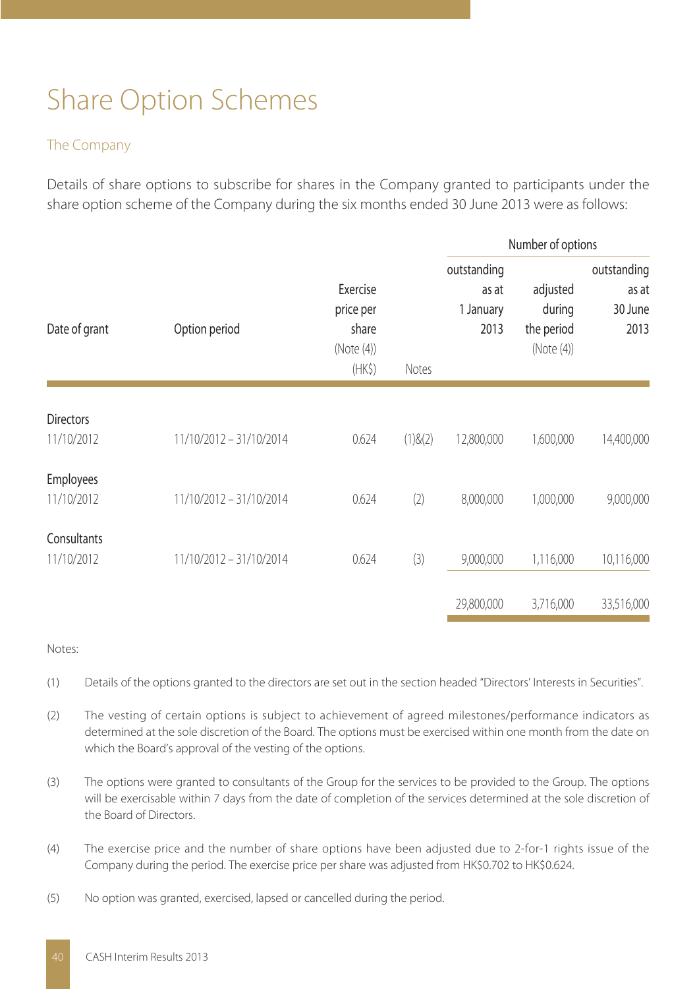# Share Option Schemes

### The Company

Details of share options to subscribe for shares in the Company granted to participants under the share option scheme of the Company during the six months ended 30 June 2013 were as follows:

|                                |                         |                                                       |         | Number of options                         |                                                |                                         |  |
|--------------------------------|-------------------------|-------------------------------------------------------|---------|-------------------------------------------|------------------------------------------------|-----------------------------------------|--|
| Date of grant                  | Option period           | Exercise<br>price per<br>share<br>(Note(4))<br>$(HK\$ | Notes   | outstanding<br>as at<br>1 January<br>2013 | adjusted<br>during<br>the period<br>(Note (4)) | outstanding<br>as at<br>30 June<br>2013 |  |
| <b>Directors</b><br>11/10/2012 | 11/10/2012 - 31/10/2014 | 0.624                                                 | (1)8(2) | 12,800,000                                | 1,600,000                                      | 14,400,000                              |  |
| Employees<br>11/10/2012        | 11/10/2012 - 31/10/2014 | 0.624                                                 | (2)     | 8,000,000                                 | 1,000,000                                      | 9,000,000                               |  |
| Consultants<br>11/10/2012      | 11/10/2012 - 31/10/2014 | 0.624                                                 | (3)     | 9,000,000                                 | 1,116,000                                      | 10,116,000                              |  |
|                                |                         |                                                       |         | 29,800,000                                | 3,716,000                                      | 33,516,000                              |  |

#### Notes:

- (1) Details of the options granted to the directors are set out in the section headed "Directors' Interests in Securities".
- (2) The vesting of certain options is subject to achievement of agreed milestones/performance indicators as determined at the sole discretion of the Board. The options must be exercised within one month from the date on which the Board's approval of the vesting of the options.
- (3) The options were granted to consultants of the Group for the services to be provided to the Group. The options will be exercisable within 7 days from the date of completion of the services determined at the sole discretion of the Board of Directors.
- (4) The exercise price and the number of share options have been adjusted due to 2-for-1 rights issue of the Company during the period. The exercise price per share was adjusted from HK\$0.702 to HK\$0.624.
- (5) No option was granted, exercised, lapsed or cancelled during the period.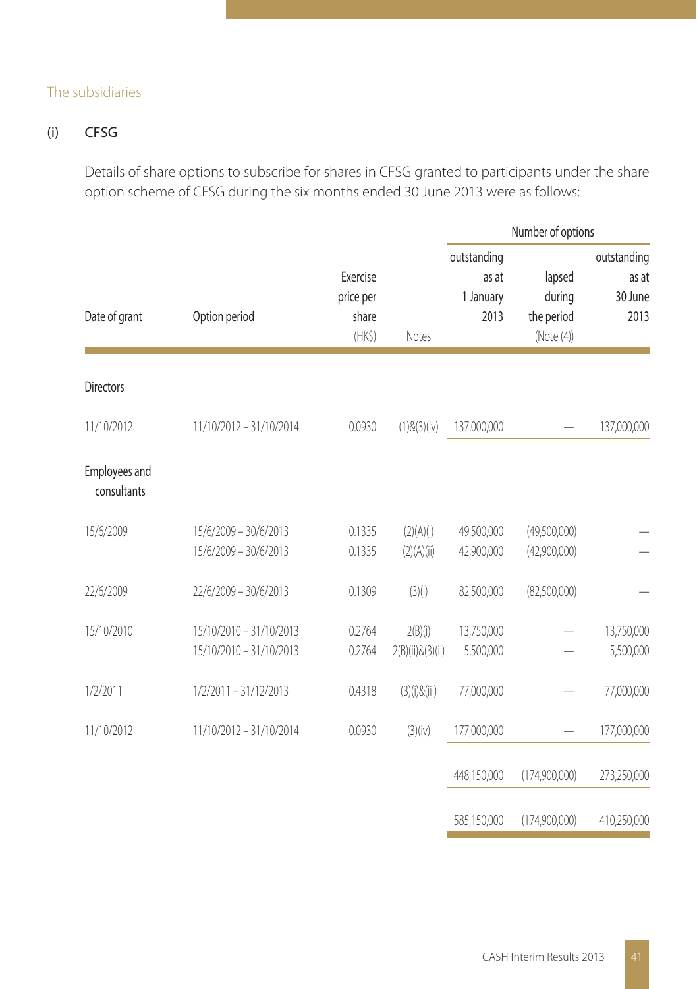#### The subsidiaries

## (i) CFSG

Details of share options to subscribe for shares in CFSG granted to participants under the share option scheme of CFSG during the six months ended 30 June 2013 were as follows:

|                              |                                                    |                                          |                               |                                           | Number of options                            |                                         |  |
|------------------------------|----------------------------------------------------|------------------------------------------|-------------------------------|-------------------------------------------|----------------------------------------------|-----------------------------------------|--|
| Date of grant                | Option period                                      | Exercise<br>price per<br>share<br>$(HK\$ | Notes                         | outstanding<br>as at<br>1 January<br>2013 | lapsed<br>during<br>the period<br>(Note (4)) | outstanding<br>as at<br>30 June<br>2013 |  |
| <b>Directors</b>             |                                                    |                                          |                               |                                           |                                              |                                         |  |
| 11/10/2012                   | 11/10/2012 - 31/10/2014                            | 0.0930                                   | $(1)$ & $(3)$ (iv)            | 137,000,000                               |                                              | 137,000,000                             |  |
| Employees and<br>consultants |                                                    |                                          |                               |                                           |                                              |                                         |  |
| 15/6/2009                    | 15/6/2009 - 30/6/2013<br>15/6/2009 - 30/6/2013     | 0.1335<br>0.1335                         | (2)(A)(i)<br>(2)(A)(ii)       | 49,500,000<br>42,900,000                  | (49,500,000)<br>(42,900,000)                 |                                         |  |
| 22/6/2009                    | 22/6/2009 - 30/6/2013                              | 0.1309                                   | (3)(i)                        | 82,500,000                                | (82,500,000)                                 |                                         |  |
| 15/10/2010                   | 15/10/2010 - 31/10/2013<br>15/10/2010 - 31/10/2013 | 0.2764<br>0.2764                         | 2(B)(i)<br>2(B)(ii) & (3)(ii) | 13,750,000<br>5,500,000                   |                                              | 13,750,000<br>5,500,000                 |  |
| 1/2/2011                     | $1/2/2011 - 31/12/2013$                            | 0.4318                                   | $(3)(i)$ &(iii)               | 77,000,000                                |                                              | 77,000,000                              |  |
| 11/10/2012                   | 11/10/2012 - 31/10/2014                            | 0.0930                                   | (3)(iv)                       | 177,000,000                               |                                              | 177,000,000                             |  |
|                              |                                                    |                                          |                               | 448,150,000                               | (174,900,000)                                | 273,250,000                             |  |
|                              |                                                    |                                          |                               | 585,150,000                               | (174,900,000)                                | 410,250,000                             |  |

۰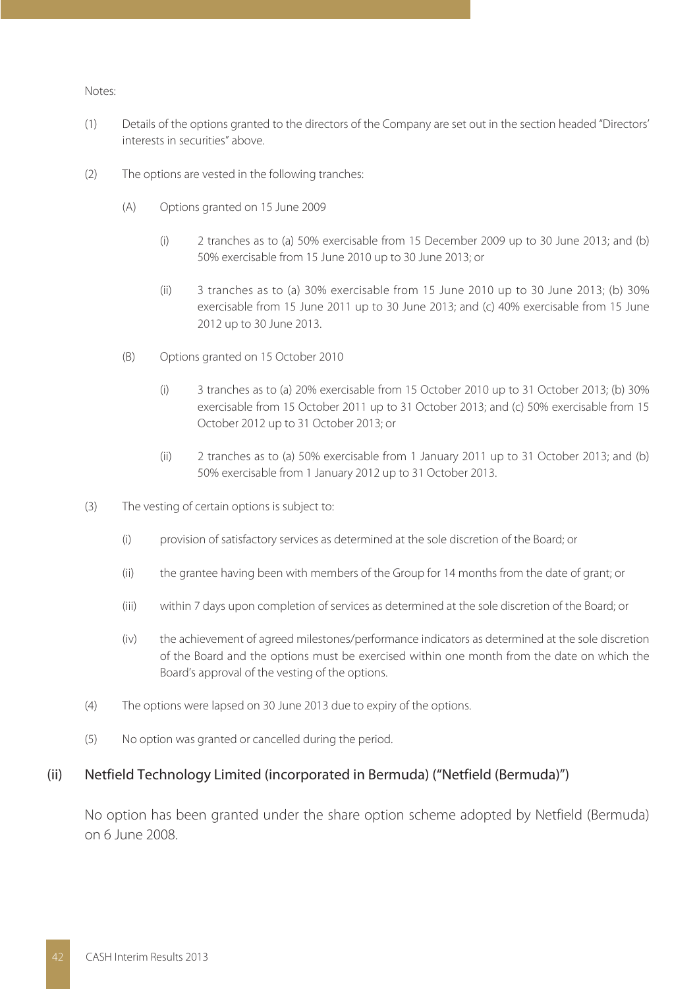#### Notes:

- (1) Details of the options granted to the directors of the Company are set out in the section headed "Directors' interests in securities" above.
- (2) The options are vested in the following tranches:
	- (A) Options granted on 15 June 2009
		- (i) 2 tranches as to (a) 50% exercisable from 15 December 2009 up to 30 June 2013; and (b) 50% exercisable from 15 June 2010 up to 30 June 2013; or
		- (ii) 3 tranches as to (a) 30% exercisable from 15 June 2010 up to 30 June 2013; (b) 30% exercisable from 15 June 2011 up to 30 June 2013; and (c) 40% exercisable from 15 June 2012 up to 30 June 2013.
	- (B) Options granted on 15 October 2010
		- (i) 3 tranches as to (a) 20% exercisable from 15 October 2010 up to 31 October 2013; (b) 30% exercisable from 15 October 2011 up to 31 October 2013; and (c) 50% exercisable from 15 October 2012 up to 31 October 2013; or
		- (ii) 2 tranches as to (a) 50% exercisable from 1 January 2011 up to 31 October 2013; and (b) 50% exercisable from 1 January 2012 up to 31 October 2013.
- (3) The vesting of certain options is subject to:
	- (i) provision of satisfactory services as determined at the sole discretion of the Board; or
	- (ii) the grantee having been with members of the Group for 14 months from the date of grant; or
	- (iii) within 7 days upon completion of services as determined at the sole discretion of the Board; or
	- (iv) the achievement of agreed milestones/performance indicators as determined at the sole discretion of the Board and the options must be exercised within one month from the date on which the Board's approval of the vesting of the options.
- (4) The options were lapsed on 30 June 2013 due to expiry of the options.
- (5) No option was granted or cancelled during the period.

#### (ii) Netfield Technology Limited (incorporated in Bermuda) ("Netfield (Bermuda)")

No option has been granted under the share option scheme adopted by Netfield (Bermuda) on 6 June 2008.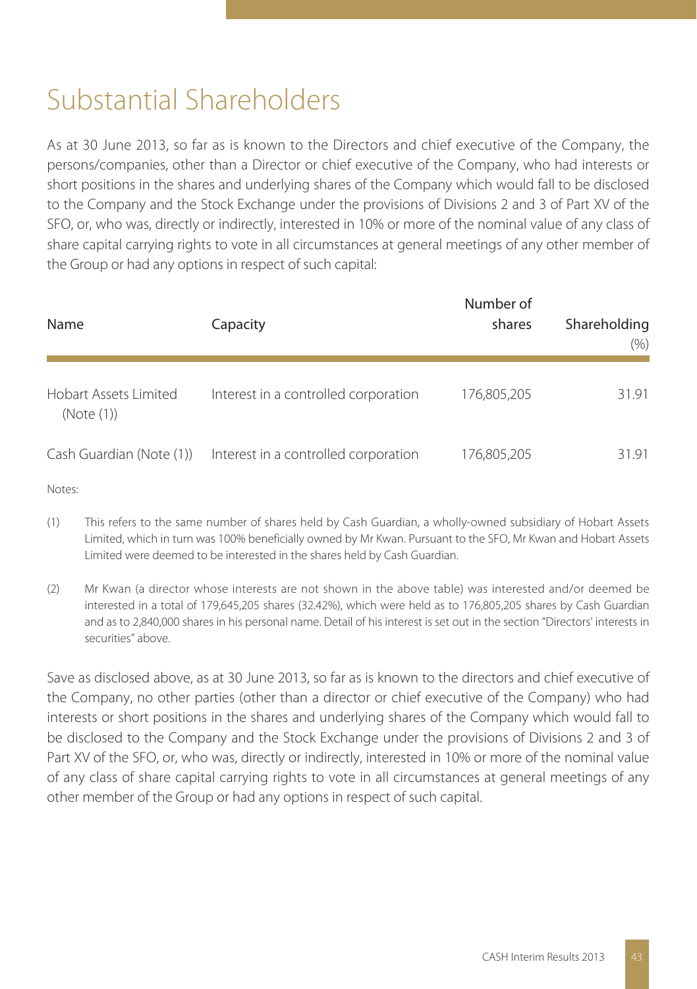## Substantial Shareholders

As at 30 June 2013, so far as is known to the Directors and chief executive of the Company, the persons/companies, other than a Director or chief executive of the Company, who had interests or short positions in the shares and underlying shares of the Company which would fall to be disclosed to the Company and the Stock Exchange under the provisions of Divisions 2 and 3 of Part XV of the SFO, or, who was, directly or indirectly, interested in 10% or more of the nominal value of any class of share capital carrying rights to vote in all circumstances at general meetings of any other member of the Group or had any options in respect of such capital:

| Name                                | Capacity                             | Number of<br>shares | Shareholding<br>(% ) |
|-------------------------------------|--------------------------------------|---------------------|----------------------|
| Hobart Assets Limited<br>(Note (1)) | Interest in a controlled corporation | 176,805,205         | 31.91                |
| Cash Guardian (Note (1))            | Interest in a controlled corporation | 176,805,205         | 31.91                |

Notes:

- (1) This refers to the same number of shares held by Cash Guardian, a wholly-owned subsidiary of Hobart Assets Limited, which in turn was 100% beneficially owned by Mr Kwan. Pursuant to the SFO, Mr Kwan and Hobart Assets Limited were deemed to be interested in the shares held by Cash Guardian.
- (2) Mr Kwan (a director whose interests are not shown in the above table) was interested and/or deemed be interested in a total of 179,645,205 shares (32.42%), which were held as to 176,805,205 shares by Cash Guardian and as to 2,840,000 shares in his personal name. Detail of his interest is set out in the section "Directors' interests in securities" above.

Save as disclosed above, as at 30 June 2013, so far as is known to the directors and chief executive of the Company, no other parties (other than a director or chief executive of the Company) who had interests or short positions in the shares and underlying shares of the Company which would fall to be disclosed to the Company and the Stock Exchange under the provisions of Divisions 2 and 3 of Part XV of the SFO, or, who was, directly or indirectly, interested in 10% or more of the nominal value of any class of share capital carrying rights to vote in all circumstances at general meetings of any other member of the Group or had any options in respect of such capital.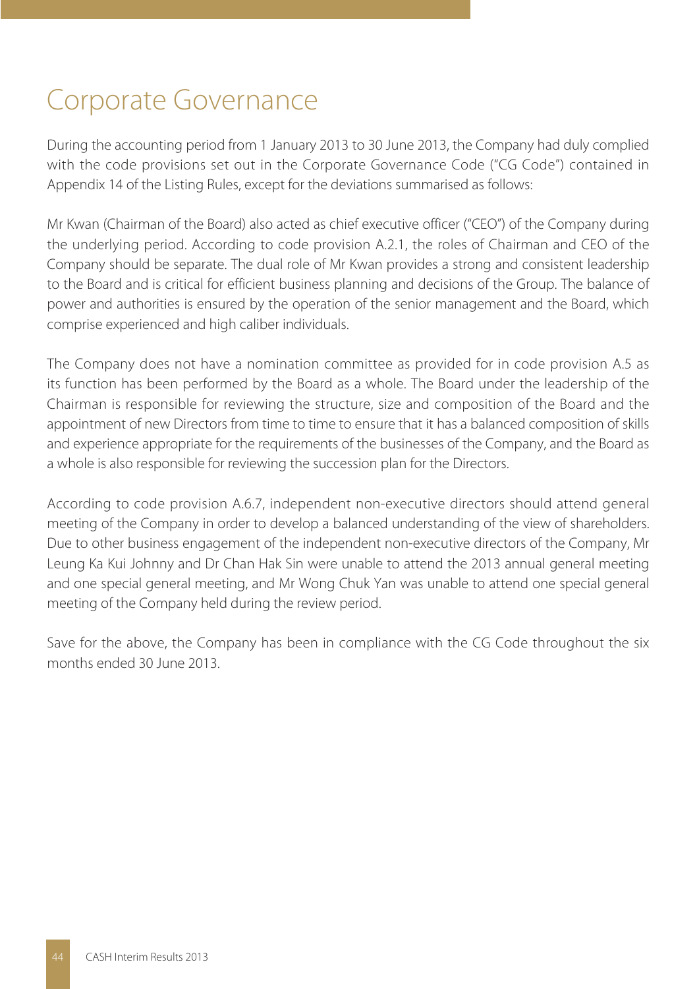## Corporate Governance

During the accounting period from 1 January 2013 to 30 June 2013, the Company had duly complied with the code provisions set out in the Corporate Governance Code ("CG Code") contained in Appendix 14 of the Listing Rules, except for the deviations summarised as follows:

Mr Kwan (Chairman of the Board) also acted as chief executive officer ("CEO") of the Company during the underlying period. According to code provision A.2.1, the roles of Chairman and CEO of the Company should be separate. The dual role of Mr Kwan provides a strong and consistent leadership to the Board and is critical for efficient business planning and decisions of the Group. The balance of power and authorities is ensured by the operation of the senior management and the Board, which comprise experienced and high caliber individuals.

The Company does not have a nomination committee as provided for in code provision A.5 as its function has been performed by the Board as a whole. The Board under the leadership of the Chairman is responsible for reviewing the structure, size and composition of the Board and the appointment of new Directors from time to time to ensure that it has a balanced composition of skills and experience appropriate for the requirements of the businesses of the Company, and the Board as a whole is also responsible for reviewing the succession plan for the Directors.

According to code provision A.6.7, independent non-executive directors should attend general meeting of the Company in order to develop a balanced understanding of the view of shareholders. Due to other business engagement of the independent non-executive directors of the Company, Mr Leung Ka Kui Johnny and Dr Chan Hak Sin were unable to attend the 2013 annual general meeting and one special general meeting, and Mr Wong Chuk Yan was unable to attend one special general meeting of the Company held during the review period.

Save for the above, the Company has been in compliance with the CG Code throughout the six months ended 30 June 2013.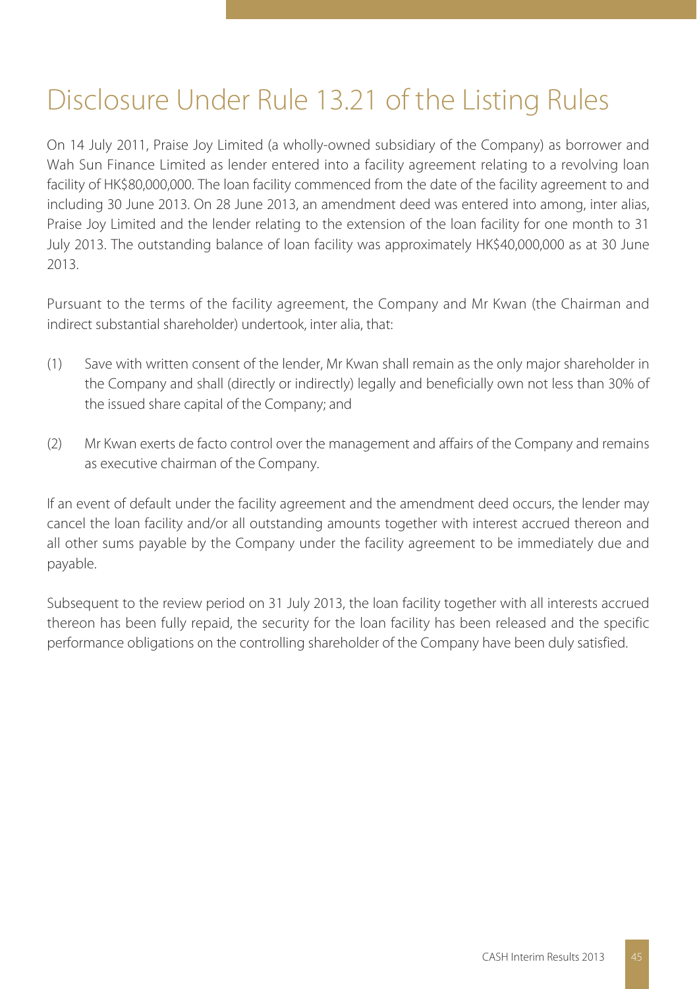# Disclosure Under Rule 13.21 of the Listing Rules

On 14 July 2011, Praise Joy Limited (a wholly-owned subsidiary of the Company) as borrower and Wah Sun Finance Limited as lender entered into a facility agreement relating to a revolving loan facility of HK\$80,000,000. The loan facility commenced from the date of the facility agreement to and including 30 June 2013. On 28 June 2013, an amendment deed was entered into among, inter alias, Praise Joy Limited and the lender relating to the extension of the loan facility for one month to 31 July 2013. The outstanding balance of loan facility was approximately HK\$40,000,000 as at 30 June 2013.

Pursuant to the terms of the facility agreement, the Company and Mr Kwan (the Chairman and indirect substantial shareholder) undertook, inter alia, that:

- (1) Save with written consent of the lender, Mr Kwan shall remain as the only major shareholder in the Company and shall (directly or indirectly) legally and beneficially own not less than 30% of the issued share capital of the Company; and
- (2) Mr Kwan exerts de facto control over the management and affairs of the Company and remains as executive chairman of the Company.

If an event of default under the facility agreement and the amendment deed occurs, the lender may cancel the loan facility and/or all outstanding amounts together with interest accrued thereon and all other sums payable by the Company under the facility agreement to be immediately due and payable.

Subsequent to the review period on 31 July 2013, the loan facility together with all interests accrued thereon has been fully repaid, the security for the loan facility has been released and the specific performance obligations on the controlling shareholder of the Company have been duly satisfied.